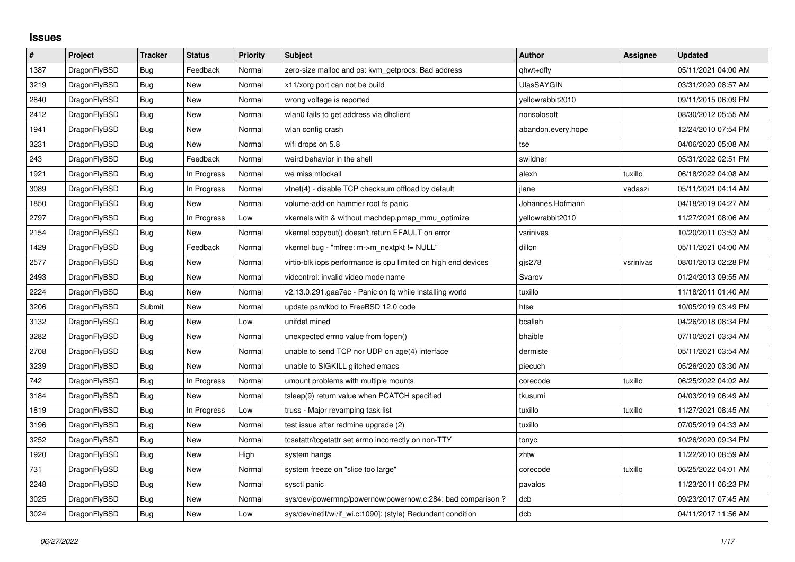## **Issues**

| $\sharp$ | Project      | <b>Tracker</b> | <b>Status</b> | <b>Priority</b> | <b>Subject</b>                                                 | <b>Author</b>      | Assignee  | <b>Updated</b>      |
|----------|--------------|----------------|---------------|-----------------|----------------------------------------------------------------|--------------------|-----------|---------------------|
| 1387     | DragonFlyBSD | <b>Bug</b>     | Feedback      | Normal          | zero-size malloc and ps: kvm getprocs: Bad address             | qhwt+dfly          |           | 05/11/2021 04:00 AM |
| 3219     | DragonFlyBSD | <b>Bug</b>     | New           | Normal          | x11/xorg port can not be build                                 | <b>UlasSAYGIN</b>  |           | 03/31/2020 08:57 AM |
| 2840     | DragonFlyBSD | Bug            | New           | Normal          | wrong voltage is reported                                      | vellowrabbit2010   |           | 09/11/2015 06:09 PM |
| 2412     | DragonFlyBSD | Bug            | <b>New</b>    | Normal          | wlan0 fails to get address via dhclient                        | nonsolosoft        |           | 08/30/2012 05:55 AM |
| 1941     | DragonFlyBSD | Bug            | New           | Normal          | wlan config crash                                              | abandon.every.hope |           | 12/24/2010 07:54 PM |
| 3231     | DragonFlyBSD | Bug            | New           | Normal          | wifi drops on 5.8                                              | tse                |           | 04/06/2020 05:08 AM |
| 243      | DragonFlyBSD | Bug            | Feedback      | Normal          | weird behavior in the shell                                    | swildner           |           | 05/31/2022 02:51 PM |
| 1921     | DragonFlyBSD | Bug            | In Progress   | Normal          | we miss mlockall                                               | alexh              | tuxillo   | 06/18/2022 04:08 AM |
| 3089     | DragonFlyBSD | Bug            | In Progress   | Normal          | vtnet(4) - disable TCP checksum offload by default             | ilane              | vadaszi   | 05/11/2021 04:14 AM |
| 1850     | DragonFlyBSD | <b>Bug</b>     | New           | Normal          | volume-add on hammer root fs panic                             | Johannes.Hofmann   |           | 04/18/2019 04:27 AM |
| 2797     | DragonFlyBSD | Bug            | In Progress   | Low             | vkernels with & without machdep.pmap mmu optimize              | yellowrabbit2010   |           | 11/27/2021 08:06 AM |
| 2154     | DragonFlyBSD | <b>Bug</b>     | New           | Normal          | vkernel copyout() doesn't return EFAULT on error               | vsrinivas          |           | 10/20/2011 03:53 AM |
| 1429     | DragonFlyBSD | <b>Bug</b>     | Feedback      | Normal          | vkernel bug - "mfree: m->m_nextpkt != NULL"                    | dillon             |           | 05/11/2021 04:00 AM |
| 2577     | DragonFlyBSD | Bug            | New           | Normal          | virtio-blk iops performance is cpu limited on high end devices | gis278             | vsrinivas | 08/01/2013 02:28 PM |
| 2493     | DragonFlyBSD | <b>Bug</b>     | <b>New</b>    | Normal          | vidcontrol: invalid video mode name                            | Svarov             |           | 01/24/2013 09:55 AM |
| 2224     | DragonFlyBSD | <b>Bug</b>     | New           | Normal          | v2.13.0.291.gaa7ec - Panic on fq while installing world        | tuxillo            |           | 11/18/2011 01:40 AM |
| 3206     | DragonFlyBSD | Submit         | New           | Normal          | update psm/kbd to FreeBSD 12.0 code                            | htse               |           | 10/05/2019 03:49 PM |
| 3132     | DragonFlyBSD | <b>Bug</b>     | New           | Low             | unifdef mined                                                  | bcallah            |           | 04/26/2018 08:34 PM |
| 3282     | DragonFlyBSD | Bug            | <b>New</b>    | Normal          | unexpected errno value from fopen()                            | bhaible            |           | 07/10/2021 03:34 AM |
| 2708     | DragonFlyBSD | Bug            | New           | Normal          | unable to send TCP nor UDP on age(4) interface                 | dermiste           |           | 05/11/2021 03:54 AM |
| 3239     | DragonFlyBSD | <b>Bug</b>     | New           | Normal          | unable to SIGKILL glitched emacs                               | piecuch            |           | 05/26/2020 03:30 AM |
| 742      | DragonFlyBSD | Bug            | In Progress   | Normal          | umount problems with multiple mounts                           | corecode           | tuxillo   | 06/25/2022 04:02 AM |
| 3184     | DragonFlyBSD | <b>Bug</b>     | New           | Normal          | tsleep(9) return value when PCATCH specified                   | tkusumi            |           | 04/03/2019 06:49 AM |
| 1819     | DragonFlyBSD | Bug            | In Progress   | Low             | truss - Major revamping task list                              | tuxillo            | tuxillo   | 11/27/2021 08:45 AM |
| 3196     | DragonFlyBSD | <b>Bug</b>     | New           | Normal          | test issue after redmine upgrade (2)                           | tuxillo            |           | 07/05/2019 04:33 AM |
| 3252     | DragonFlyBSD | Bug            | New           | Normal          | tcsetattr/tcgetattr set errno incorrectly on non-TTY           | tonyc              |           | 10/26/2020 09:34 PM |
| 1920     | DragonFlyBSD | Bug            | New           | High            | system hangs                                                   | zhtw               |           | 11/22/2010 08:59 AM |
| 731      | DragonFlyBSD | Bug            | New           | Normal          | system freeze on "slice too large"                             | corecode           | tuxillo   | 06/25/2022 04:01 AM |
| 2248     | DragonFlyBSD | <b>Bug</b>     | New           | Normal          | sysctl panic                                                   | pavalos            |           | 11/23/2011 06:23 PM |
| 3025     | DragonFlyBSD | <b>Bug</b>     | New           | Normal          | sys/dev/powermng/powernow/powernow.c:284: bad comparison?      | dcb                |           | 09/23/2017 07:45 AM |
| 3024     | DragonFlyBSD | Bug            | New           | Low             | sys/dev/netif/wi/if wi.c:1090]: (style) Redundant condition    | dcb                |           | 04/11/2017 11:56 AM |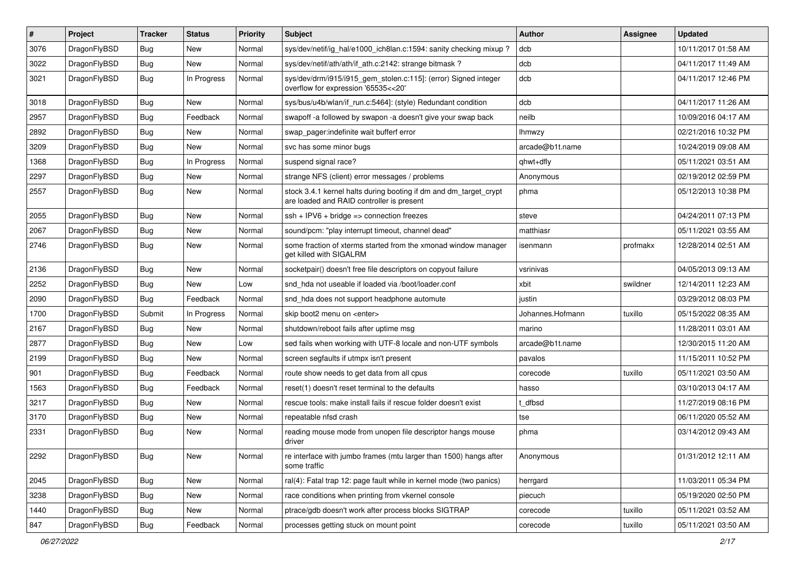| #    | Project      | <b>Tracker</b> | <b>Status</b> | <b>Priority</b> | <b>Subject</b>                                                                                                 | <b>Author</b>    | Assignee | <b>Updated</b>      |
|------|--------------|----------------|---------------|-----------------|----------------------------------------------------------------------------------------------------------------|------------------|----------|---------------------|
| 3076 | DragonFlyBSD | Bug            | <b>New</b>    | Normal          | sys/dev/netif/ig_hal/e1000_ich8lan.c:1594: sanity checking mixup ?                                             | dcb              |          | 10/11/2017 01:58 AM |
| 3022 | DragonFlyBSD | Bug            | <b>New</b>    | Normal          | sys/dev/netif/ath/ath/if ath.c:2142: strange bitmask?                                                          | dcb              |          | 04/11/2017 11:49 AM |
| 3021 | DragonFlyBSD | <b>Bug</b>     | In Progress   | Normal          | sys/dev/drm/i915/i915_gem_stolen.c:115]: (error) Signed integer<br>overflow for expression '65535<<20'         | dcb              |          | 04/11/2017 12:46 PM |
| 3018 | DragonFlyBSD | Bug            | <b>New</b>    | Normal          | sys/bus/u4b/wlan/if_run.c:5464]: (style) Redundant condition                                                   | dcb              |          | 04/11/2017 11:26 AM |
| 2957 | DragonFlyBSD | Bug            | Feedback      | Normal          | swapoff-a followed by swapon-a doesn't give your swap back                                                     | neilb            |          | 10/09/2016 04:17 AM |
| 2892 | DragonFlyBSD | <b>Bug</b>     | <b>New</b>    | Normal          | swap pager:indefinite wait bufferf error                                                                       | <b>Ihmwzy</b>    |          | 02/21/2016 10:32 PM |
| 3209 | DragonFlyBSD | <b>Bug</b>     | New           | Normal          | svc has some minor bugs                                                                                        | arcade@b1t.name  |          | 10/24/2019 09:08 AM |
| 1368 | DragonFlyBSD | <b>Bug</b>     | In Progress   | Normal          | suspend signal race?                                                                                           | qhwt+dfly        |          | 05/11/2021 03:51 AM |
| 2297 | DragonFlyBSD | Bug            | <b>New</b>    | Normal          | strange NFS (client) error messages / problems                                                                 | Anonymous        |          | 02/19/2012 02:59 PM |
| 2557 | DragonFlyBSD | <b>Bug</b>     | <b>New</b>    | Normal          | stock 3.4.1 kernel halts during booting if dm and dm_target_crypt<br>are loaded and RAID controller is present | phma             |          | 05/12/2013 10:38 PM |
| 2055 | DragonFlyBSD | Bug            | <b>New</b>    | Normal          | $\operatorname{csh}$ + IPV6 + bridge => connection freezes                                                     | steve            |          | 04/24/2011 07:13 PM |
| 2067 | DragonFlyBSD | Bug            | <b>New</b>    | Normal          | sound/pcm: "play interrupt timeout, channel dead"                                                              | matthiasr        |          | 05/11/2021 03:55 AM |
| 2746 | DragonFlyBSD | <b>Bug</b>     | <b>New</b>    | Normal          | some fraction of xterms started from the xmonad window manager<br>get killed with SIGALRM                      | isenmann         | profmakx | 12/28/2014 02:51 AM |
| 2136 | DragonFlyBSD | Bug            | <b>New</b>    | Normal          | socketpair() doesn't free file descriptors on copyout failure                                                  | vsrinivas        |          | 04/05/2013 09:13 AM |
| 2252 | DragonFlyBSD | Bug            | <b>New</b>    | Low             | snd_hda not useable if loaded via /boot/loader.conf                                                            | xbit             | swildner | 12/14/2011 12:23 AM |
| 2090 | DragonFlyBSD | Bug            | Feedback      | Normal          | snd hda does not support headphone automute                                                                    | justin           |          | 03/29/2012 08:03 PM |
| 1700 | DragonFlyBSD | Submit         | In Progress   | Normal          | skip boot2 menu on <enter></enter>                                                                             | Johannes.Hofmann | tuxillo  | 05/15/2022 08:35 AM |
| 2167 | DragonFlyBSD | <b>Bug</b>     | New           | Normal          | shutdown/reboot fails after uptime msg                                                                         | marino           |          | 11/28/2011 03:01 AM |
| 2877 | DragonFlyBSD | <b>Bug</b>     | <b>New</b>    | Low             | sed fails when working with UTF-8 locale and non-UTF symbols                                                   | arcade@b1t.name  |          | 12/30/2015 11:20 AM |
| 2199 | DragonFlyBSD | Bug            | <b>New</b>    | Normal          | screen segfaults if utmpx isn't present                                                                        | pavalos          |          | 11/15/2011 10:52 PM |
| 901  | DragonFlyBSD | <b>Bug</b>     | Feedback      | Normal          | route show needs to get data from all cpus                                                                     | corecode         | tuxillo  | 05/11/2021 03:50 AM |
| 1563 | DragonFlyBSD | <b>Bug</b>     | Feedback      | Normal          | reset(1) doesn't reset terminal to the defaults                                                                | hasso            |          | 03/10/2013 04:17 AM |
| 3217 | DragonFlyBSD | <b>Bug</b>     | <b>New</b>    | Normal          | rescue tools: make install fails if rescue folder doesn't exist                                                | t_dfbsd          |          | 11/27/2019 08:16 PM |
| 3170 | DragonFlyBSD | <b>Bug</b>     | <b>New</b>    | Normal          | repeatable nfsd crash                                                                                          | tse              |          | 06/11/2020 05:52 AM |
| 2331 | DragonFlyBSD | <b>Bug</b>     | <b>New</b>    | Normal          | reading mouse mode from unopen file descriptor hangs mouse<br>driver                                           | phma             |          | 03/14/2012 09:43 AM |
| 2292 | DragonFlyBSD | Bug            | New           | Normal          | re interface with jumbo frames (mtu larger than 1500) hangs after<br>some traffic                              | Anonymous        |          | 01/31/2012 12:11 AM |
| 2045 | DragonFlyBSD | <b>Bug</b>     | New           | Normal          | ral(4): Fatal trap 12: page fault while in kernel mode (two panics)                                            | herrgard         |          | 11/03/2011 05:34 PM |
| 3238 | DragonFlyBSD | <b>Bug</b>     | New           | Normal          | race conditions when printing from vkernel console                                                             | piecuch          |          | 05/19/2020 02:50 PM |
| 1440 | DragonFlyBSD | <b>Bug</b>     | New           | Normal          | ptrace/gdb doesn't work after process blocks SIGTRAP                                                           | corecode         | tuxillo  | 05/11/2021 03:52 AM |
| 847  | DragonFlyBSD | <b>Bug</b>     | Feedback      | Normal          | processes getting stuck on mount point                                                                         | corecode         | tuxillo  | 05/11/2021 03:50 AM |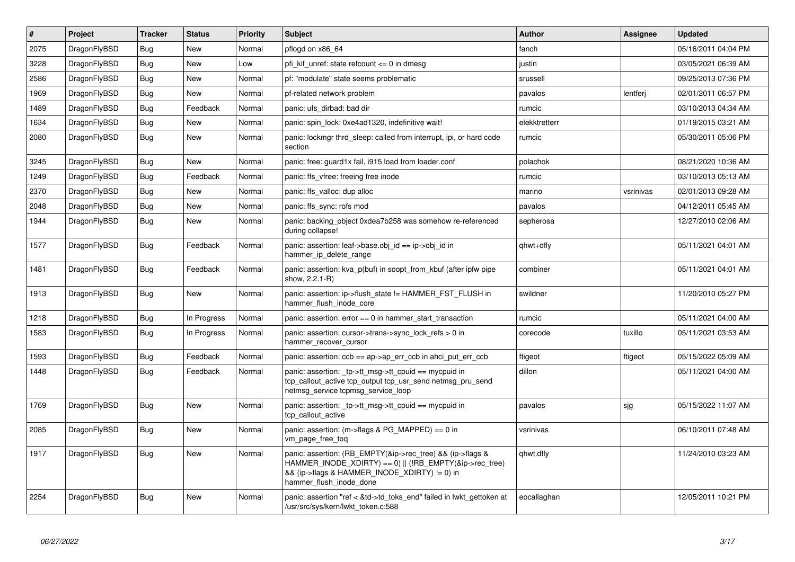| $\vert$ # | Project      | <b>Tracker</b> | <b>Status</b> | <b>Priority</b> | <b>Subject</b>                                                                                                                                                                                    | <b>Author</b> | Assignee  | <b>Updated</b>      |
|-----------|--------------|----------------|---------------|-----------------|---------------------------------------------------------------------------------------------------------------------------------------------------------------------------------------------------|---------------|-----------|---------------------|
| 2075      | DragonFlyBSD | <b>Bug</b>     | <b>New</b>    | Normal          | pflogd on x86 64                                                                                                                                                                                  | fanch         |           | 05/16/2011 04:04 PM |
| 3228      | DragonFlyBSD | Bug            | <b>New</b>    | Low             | pfi kif unref: state refcount $\leq 0$ in dmesg                                                                                                                                                   | justin        |           | 03/05/2021 06:39 AM |
| 2586      | DragonFlyBSD | <b>Bug</b>     | <b>New</b>    | Normal          | pf: "modulate" state seems problematic                                                                                                                                                            | srussell      |           | 09/25/2013 07:36 PM |
| 1969      | DragonFlyBSD | Bug            | New           | Normal          | pf-related network problem                                                                                                                                                                        | pavalos       | lentferj  | 02/01/2011 06:57 PM |
| 1489      | DragonFlyBSD | <b>Bug</b>     | Feedback      | Normal          | panic: ufs dirbad: bad dir                                                                                                                                                                        | rumcic        |           | 03/10/2013 04:34 AM |
| 1634      | DragonFlyBSD | <b>Bug</b>     | <b>New</b>    | Normal          | panic: spin lock: 0xe4ad1320, indefinitive wait!                                                                                                                                                  | elekktretterr |           | 01/19/2015 03:21 AM |
| 2080      | DragonFlyBSD | Bug            | New           | Normal          | panic: lockmgr thrd sleep: called from interrupt, ipi, or hard code<br>section                                                                                                                    | rumcic        |           | 05/30/2011 05:06 PM |
| 3245      | DragonFlyBSD | Bug            | <b>New</b>    | Normal          | panic: free: guard1x fail, i915 load from loader.conf                                                                                                                                             | polachok      |           | 08/21/2020 10:36 AM |
| 1249      | DragonFlyBSD | <b>Bug</b>     | Feedback      | Normal          | panic: ffs vfree: freeing free inode                                                                                                                                                              | rumcic        |           | 03/10/2013 05:13 AM |
| 2370      | DragonFlyBSD | Bug            | <b>New</b>    | Normal          | panic: ffs valloc: dup alloc                                                                                                                                                                      | marino        | vsrinivas | 02/01/2013 09:28 AM |
| 2048      | DragonFlyBSD | <b>Bug</b>     | <b>New</b>    | Normal          | panic: ffs sync: rofs mod                                                                                                                                                                         | pavalos       |           | 04/12/2011 05:45 AM |
| 1944      | DragonFlyBSD | Bug            | New           | Normal          | panic: backing object 0xdea7b258 was somehow re-referenced<br>during collapse!                                                                                                                    | sepherosa     |           | 12/27/2010 02:06 AM |
| 1577      | DragonFlyBSD | Bug            | Feedback      | Normal          | panic: assertion: leaf->base.obj_id == ip->obj_id in<br>hammer ip delete range                                                                                                                    | qhwt+dfly     |           | 05/11/2021 04:01 AM |
| 1481      | DragonFlyBSD | <b>Bug</b>     | Feedback      | Normal          | panic: assertion: kva p(buf) in soopt from kbuf (after ipfw pipe<br>show, 2.2.1-R)                                                                                                                | combiner      |           | 05/11/2021 04:01 AM |
| 1913      | DragonFlyBSD | Bug            | New           | Normal          | panic: assertion: ip->flush state != HAMMER FST FLUSH in<br>hammer flush inode core                                                                                                               | swildner      |           | 11/20/2010 05:27 PM |
| 1218      | DragonFlyBSD | <b>Bug</b>     | In Progress   | Normal          | panic: assertion: $error == 0$ in hammer start transaction                                                                                                                                        | rumcic        |           | 05/11/2021 04:00 AM |
| 1583      | DragonFlyBSD | Bug            | In Progress   | Normal          | panic: assertion: cursor->trans->sync lock refs $> 0$ in<br>hammer recover cursor                                                                                                                 | corecode      | tuxillo   | 05/11/2021 03:53 AM |
| 1593      | DragonFlyBSD | Bug            | Feedback      | Normal          | panic: assertion: $ccb == ap \rightarrow ap$ err $ccb$ in ahci put err $ccb$                                                                                                                      | ftigeot       | ftigeot   | 05/15/2022 05:09 AM |
| 1448      | DragonFlyBSD | <b>Bug</b>     | Feedback      | Normal          | panic: assertion: _tp->tt_msg->tt_cpuid == mycpuid in<br>tcp callout active tcp output tcp usr send netmsg pru send<br>netmsg_service tcpmsg_service_loop                                         | dillon        |           | 05/11/2021 04:00 AM |
| 1769      | DragonFlyBSD | <b>Bug</b>     | New           | Normal          | panic: assertion: tp->tt_msg->tt_cpuid == mycpuid in<br>tcp_callout_active                                                                                                                        | pavalos       | sjg       | 05/15/2022 11:07 AM |
| 2085      | DragonFlyBSD | Bug            | <b>New</b>    | Normal          | panic: assertion: $(m\rightarrow$ flags & PG MAPPED) == 0 in<br>vm_page_free_toq                                                                                                                  | vsrinivas     |           | 06/10/2011 07:48 AM |
| 1917      | DragonFlyBSD | Bug            | New           | Normal          | panic: assertion: (RB EMPTY(&ip->rec tree) && (ip->flags &<br>HAMMER INODE XDIRTY) == 0)    (!RB EMPTY(&ip->rec tree)<br>&& (ip->flags & HAMMER_INODE_XDIRTY) != 0) in<br>hammer flush inode done | qhwt.dfly     |           | 11/24/2010 03:23 AM |
| 2254      | DragonFlyBSD | <b>Bug</b>     | <b>New</b>    | Normal          | panic: assertion "ref < &td->td_toks_end" failed in lwkt_gettoken at<br>/usr/src/sys/kern/lwkt token.c:588                                                                                        | eocallaghan   |           | 12/05/2011 10:21 PM |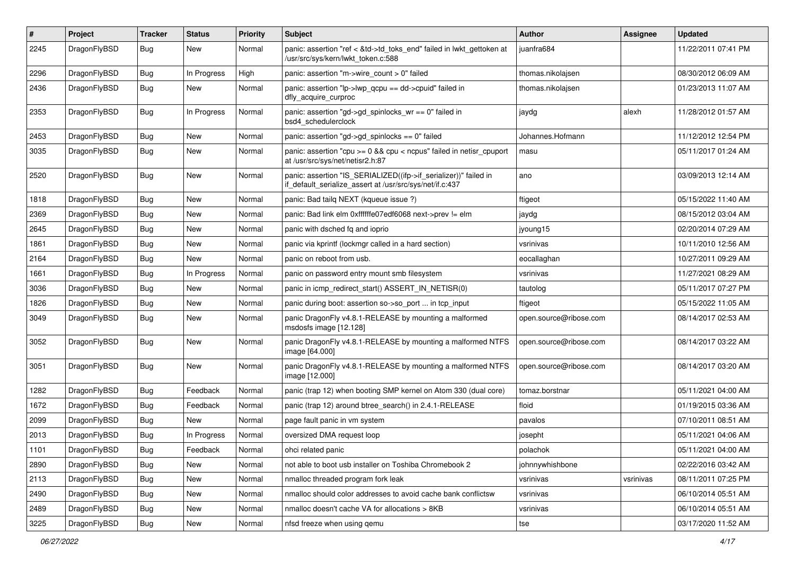| $\pmb{\#}$ | Project      | <b>Tracker</b> | <b>Status</b> | <b>Priority</b> | <b>Subject</b>                                                                                                               | Author                 | Assignee  | <b>Updated</b>      |
|------------|--------------|----------------|---------------|-----------------|------------------------------------------------------------------------------------------------------------------------------|------------------------|-----------|---------------------|
| 2245       | DragonFlyBSD | Bug            | New           | Normal          | panic: assertion "ref < &td->td_toks_end" failed in lwkt_gettoken at<br>/usr/src/sys/kern/lwkt_token.c:588                   | juanfra684             |           | 11/22/2011 07:41 PM |
| 2296       | DragonFlyBSD | <b>Bug</b>     | In Progress   | High            | panic: assertion "m->wire count > 0" failed                                                                                  | thomas.nikolajsen      |           | 08/30/2012 06:09 AM |
| 2436       | DragonFlyBSD | Bug            | New           | Normal          | panic: assertion "lp->lwp_qcpu == dd->cpuid" failed in<br>dfly_acquire_curproc                                               | thomas.nikolajsen      |           | 01/23/2013 11:07 AM |
| 2353       | DragonFlyBSD | <b>Bug</b>     | In Progress   | Normal          | panic: assertion "gd->gd_spinlocks_wr == 0" failed in<br>bsd4_schedulerclock                                                 | jaydg                  | alexh     | 11/28/2012 01:57 AM |
| 2453       | DragonFlyBSD | <b>Bug</b>     | <b>New</b>    | Normal          | panic: assertion "gd->gd_spinlocks == 0" failed                                                                              | Johannes.Hofmann       |           | 11/12/2012 12:54 PM |
| 3035       | DragonFlyBSD | Bug            | New           | Normal          | panic: assertion "cpu $>= 0$ && cpu < ncpus" failed in netisr cpuport<br>at /usr/src/sys/net/netisr2.h:87                    | masu                   |           | 05/11/2017 01:24 AM |
| 2520       | DragonFlyBSD | Bug            | New           | Normal          | panic: assertion "IS_SERIALIZED((ifp->if_serializer))" failed in<br>if_default_serialize_assert at /usr/src/sys/net/if.c:437 | ano                    |           | 03/09/2013 12:14 AM |
| 1818       | DragonFlyBSD | Bug            | New           | Normal          | panic: Bad tailg NEXT (kqueue issue ?)                                                                                       | ftigeot                |           | 05/15/2022 11:40 AM |
| 2369       | DragonFlyBSD | Bug            | New           | Normal          | panic: Bad link elm 0xffffffe07edf6068 next->prev != elm                                                                     | jaydg                  |           | 08/15/2012 03:04 AM |
| 2645       | DragonFlyBSD | Bug            | New           | Normal          | panic with dsched fq and ioprio                                                                                              | jyoung15               |           | 02/20/2014 07:29 AM |
| 1861       | DragonFlyBSD | <b>Bug</b>     | <b>New</b>    | Normal          | panic via kprintf (lockmgr called in a hard section)                                                                         | vsrinivas              |           | 10/11/2010 12:56 AM |
| 2164       | DragonFlyBSD | Bug            | New           | Normal          | panic on reboot from usb.                                                                                                    | eocallaghan            |           | 10/27/2011 09:29 AM |
| 1661       | DragonFlyBSD | Bug            | In Progress   | Normal          | panic on password entry mount smb filesystem                                                                                 | vsrinivas              |           | 11/27/2021 08:29 AM |
| 3036       | DragonFlyBSD | Bug            | New           | Normal          | panic in icmp redirect start() ASSERT IN NETISR(0)                                                                           | tautolog               |           | 05/11/2017 07:27 PM |
| 1826       | DragonFlyBSD | Bug            | New           | Normal          | panic during boot: assertion so->so_port  in tcp_input                                                                       | ftigeot                |           | 05/15/2022 11:05 AM |
| 3049       | DragonFlyBSD | Bug            | <b>New</b>    | Normal          | panic DragonFly v4.8.1-RELEASE by mounting a malformed<br>msdosfs image [12.128]                                             | open.source@ribose.com |           | 08/14/2017 02:53 AM |
| 3052       | DragonFlyBSD | Bug            | New           | Normal          | panic DragonFly v4.8.1-RELEASE by mounting a malformed NTFS<br>image [64.000]                                                | open.source@ribose.com |           | 08/14/2017 03:22 AM |
| 3051       | DragonFlyBSD | Bug            | <b>New</b>    | Normal          | panic DragonFly v4.8.1-RELEASE by mounting a malformed NTFS<br>image [12.000]                                                | open.source@ribose.com |           | 08/14/2017 03:20 AM |
| 1282       | DragonFlyBSD | <b>Bug</b>     | Feedback      | Normal          | panic (trap 12) when booting SMP kernel on Atom 330 (dual core)                                                              | tomaz.borstnar         |           | 05/11/2021 04:00 AM |
| 1672       | DragonFlyBSD | Bug            | Feedback      | Normal          | panic (trap 12) around btree_search() in 2.4.1-RELEASE                                                                       | floid                  |           | 01/19/2015 03:36 AM |
| 2099       | DragonFlyBSD | Bug            | New           | Normal          | page fault panic in vm system                                                                                                | pavalos                |           | 07/10/2011 08:51 AM |
| 2013       | DragonFlyBSD | Bug            | In Progress   | Normal          | oversized DMA request loop                                                                                                   | josepht                |           | 05/11/2021 04:06 AM |
| 1101       | DragonFlyBSD | <b>Bug</b>     | Feedback      | Normal          | ohci related panic                                                                                                           | polachok               |           | 05/11/2021 04:00 AM |
| 2890       | DragonFlyBSD | <b>Bug</b>     | New           | Normal          | not able to boot usb installer on Toshiba Chromebook 2                                                                       | johnnywhishbone        |           | 02/22/2016 03:42 AM |
| 2113       | DragonFlyBSD | Bug            | New           | Normal          | nmalloc threaded program fork leak                                                                                           | vsrinivas              | vsrinivas | 08/11/2011 07:25 PM |
| 2490       | DragonFlyBSD | Bug            | New           | Normal          | nmalloc should color addresses to avoid cache bank conflictsw                                                                | vsrinivas              |           | 06/10/2014 05:51 AM |
| 2489       | DragonFlyBSD | Bug            | New           | Normal          | nmalloc doesn't cache VA for allocations > 8KB                                                                               | vsrinivas              |           | 06/10/2014 05:51 AM |
| 3225       | DragonFlyBSD | <b>Bug</b>     | New           | Normal          | nfsd freeze when using gemu                                                                                                  | tse                    |           | 03/17/2020 11:52 AM |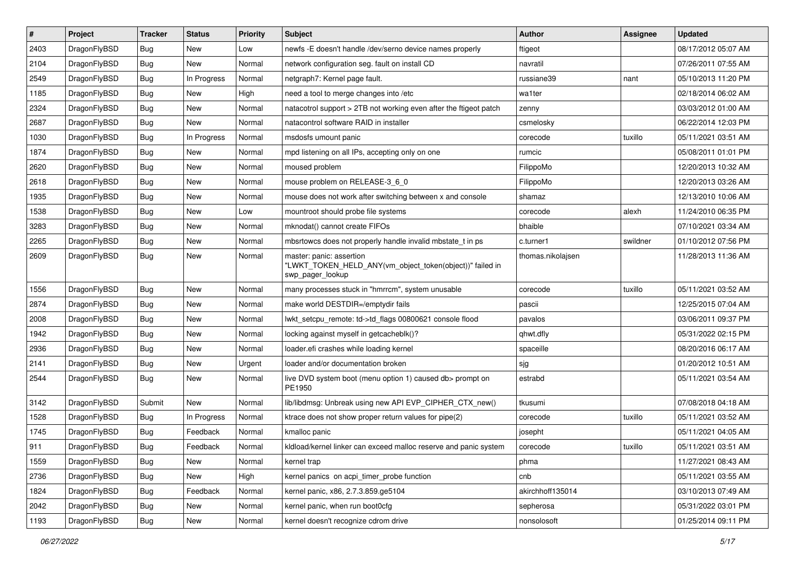| $\sharp$ | Project      | <b>Tracker</b> | <b>Status</b> | <b>Priority</b> | Subject                                                                                                  | Author            | Assignee | <b>Updated</b>      |
|----------|--------------|----------------|---------------|-----------------|----------------------------------------------------------------------------------------------------------|-------------------|----------|---------------------|
| 2403     | DragonFlyBSD | <b>Bug</b>     | New           | Low             | newfs - E doesn't handle /dev/serno device names properly                                                | ftigeot           |          | 08/17/2012 05:07 AM |
| 2104     | DragonFlyBSD | Bug            | <b>New</b>    | Normal          | network configuration seg. fault on install CD                                                           | navratil          |          | 07/26/2011 07:55 AM |
| 2549     | DragonFlyBSD | Bug            | In Progress   | Normal          | netgraph7: Kernel page fault.                                                                            | russiane39        | nant     | 05/10/2013 11:20 PM |
| 1185     | DragonFlyBSD | Bug            | <b>New</b>    | High            | need a tool to merge changes into /etc                                                                   | wa1ter            |          | 02/18/2014 06:02 AM |
| 2324     | DragonFlyBSD | <b>Bug</b>     | New           | Normal          | natacotrol support > 2TB not working even after the ftigeot patch                                        | zenny             |          | 03/03/2012 01:00 AM |
| 2687     | DragonFlyBSD | <b>Bug</b>     | <b>New</b>    | Normal          | natacontrol software RAID in installer                                                                   | csmelosky         |          | 06/22/2014 12:03 PM |
| 1030     | DragonFlyBSD | <b>Bug</b>     | In Progress   | Normal          | msdosfs umount panic                                                                                     | corecode          | tuxillo  | 05/11/2021 03:51 AM |
| 1874     | DragonFlyBSD | <b>Bug</b>     | <b>New</b>    | Normal          | mpd listening on all IPs, accepting only on one                                                          | rumcic            |          | 05/08/2011 01:01 PM |
| 2620     | DragonFlyBSD | Bug            | New           | Normal          | moused problem                                                                                           | FilippoMo         |          | 12/20/2013 10:32 AM |
| 2618     | DragonFlyBSD | Bug            | <b>New</b>    | Normal          | mouse problem on RELEASE-3_6_0                                                                           | FilippoMo         |          | 12/20/2013 03:26 AM |
| 1935     | DragonFlyBSD | <b>Bug</b>     | New           | Normal          | mouse does not work after switching between x and console                                                | shamaz            |          | 12/13/2010 10:06 AM |
| 1538     | DragonFlyBSD | <b>Bug</b>     | <b>New</b>    | Low             | mountroot should probe file systems                                                                      | corecode          | alexh    | 11/24/2010 06:35 PM |
| 3283     | DragonFlyBSD | Bug            | <b>New</b>    | Normal          | mknodat() cannot create FIFOs                                                                            | bhaible           |          | 07/10/2021 03:34 AM |
| 2265     | DragonFlyBSD | <b>Bug</b>     | New           | Normal          | mbsrtowcs does not properly handle invalid mbstate_t in ps                                               | c.turner1         | swildner | 01/10/2012 07:56 PM |
| 2609     | DragonFlyBSD | Bug            | New           | Normal          | master: panic: assertion<br>"LWKT_TOKEN_HELD_ANY(vm_object_token(object))" failed in<br>swp pager lookup | thomas.nikolajsen |          | 11/28/2013 11:36 AM |
| 1556     | DragonFlyBSD | Bug            | <b>New</b>    | Normal          | many processes stuck in "hmrrcm", system unusable                                                        | corecode          | tuxillo  | 05/11/2021 03:52 AM |
| 2874     | DragonFlyBSD | <b>Bug</b>     | New           | Normal          | make world DESTDIR=/emptydir fails                                                                       | pascii            |          | 12/25/2015 07:04 AM |
| 2008     | DragonFlyBSD | <b>Bug</b>     | <b>New</b>    | Normal          | lwkt_setcpu_remote: td->td_flags 00800621 console flood                                                  | pavalos           |          | 03/06/2011 09:37 PM |
| 1942     | DragonFlyBSD | Bug            | New           | Normal          | locking against myself in getcacheblk()?                                                                 | qhwt.dfly         |          | 05/31/2022 02:15 PM |
| 2936     | DragonFlyBSD | <b>Bug</b>     | New           | Normal          | loader.efi crashes while loading kernel                                                                  | spaceille         |          | 08/20/2016 06:17 AM |
| 2141     | DragonFlyBSD | Bug            | New           | Urgent          | loader and/or documentation broken                                                                       | sjg               |          | 01/20/2012 10:51 AM |
| 2544     | DragonFlyBSD | <b>Bug</b>     | New           | Normal          | live DVD system boot (menu option 1) caused db> prompt on<br>PE1950                                      | estrabd           |          | 05/11/2021 03:54 AM |
| 3142     | DragonFlyBSD | Submit         | New           | Normal          | lib/libdmsg: Unbreak using new API EVP_CIPHER_CTX_new()                                                  | tkusumi           |          | 07/08/2018 04:18 AM |
| 1528     | DragonFlyBSD | <b>Bug</b>     | In Progress   | Normal          | ktrace does not show proper return values for pipe(2)                                                    | corecode          | tuxillo  | 05/11/2021 03:52 AM |
| 1745     | DragonFlyBSD | <b>Bug</b>     | Feedback      | Normal          | kmalloc panic                                                                                            | josepht           |          | 05/11/2021 04:05 AM |
| 911      | DragonFlyBSD | Bug            | Feedback      | Normal          | kldload/kernel linker can exceed malloc reserve and panic system                                         | corecode          | tuxillo  | 05/11/2021 03:51 AM |
| 1559     | DragonFlyBSD | <b>Bug</b>     | <b>New</b>    | Normal          | kernel trap                                                                                              | phma              |          | 11/27/2021 08:43 AM |
| 2736     | DragonFlyBSD | Bug            | New           | High            | kernel panics on acpi_timer_probe function                                                               | cnb               |          | 05/11/2021 03:55 AM |
| 1824     | DragonFlyBSD | Bug            | Feedback      | Normal          | kernel panic, x86, 2.7.3.859.ge5104                                                                      | akirchhoff135014  |          | 03/10/2013 07:49 AM |
| 2042     | DragonFlyBSD | <b>Bug</b>     | New           | Normal          | kernel panic, when run boot0cfg                                                                          | sepherosa         |          | 05/31/2022 03:01 PM |
| 1193     | DragonFlyBSD | <b>Bug</b>     | New           | Normal          | kernel doesn't recognize cdrom drive                                                                     | nonsolosoft       |          | 01/25/2014 09:11 PM |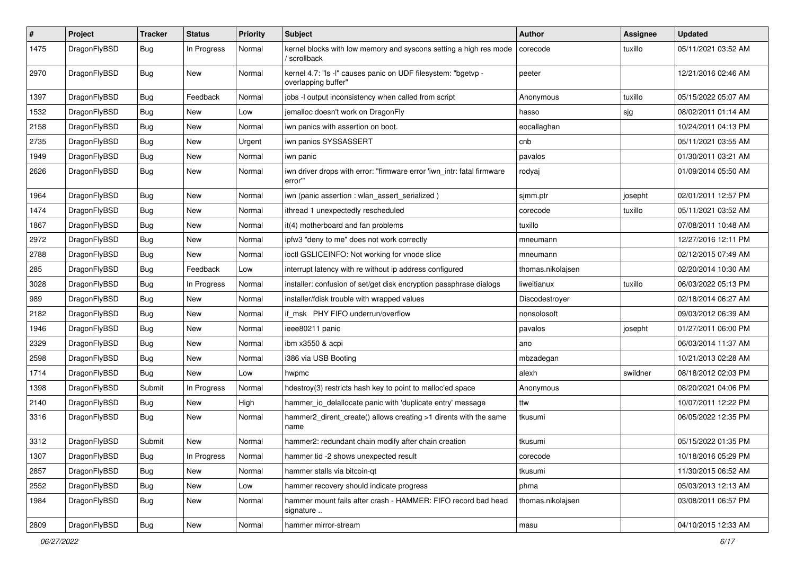| $\sharp$ | Project      | <b>Tracker</b> | <b>Status</b> | <b>Priority</b> | Subject                                                                              | Author            | Assignee | <b>Updated</b>      |
|----------|--------------|----------------|---------------|-----------------|--------------------------------------------------------------------------------------|-------------------|----------|---------------------|
| 1475     | DragonFlyBSD | Bug            | In Progress   | Normal          | kernel blocks with low memory and syscons setting a high res mode<br>/ scrollback    | corecode          | tuxillo  | 05/11/2021 03:52 AM |
| 2970     | DragonFlyBSD | Bug            | <b>New</b>    | Normal          | kernel 4.7: "Is -l" causes panic on UDF filesystem: "bgetvp -<br>overlapping buffer" | peeter            |          | 12/21/2016 02:46 AM |
| 1397     | DragonFlyBSD | Bug            | Feedback      | Normal          | jobs -I output inconsistency when called from script                                 | Anonymous         | tuxillo  | 05/15/2022 05:07 AM |
| 1532     | DragonFlyBSD | <b>Bug</b>     | New           | Low             | jemalloc doesn't work on DragonFly                                                   | hasso             | sjg      | 08/02/2011 01:14 AM |
| 2158     | DragonFlyBSD | <b>Bug</b>     | New           | Normal          | iwn panics with assertion on boot.                                                   | eocallaghan       |          | 10/24/2011 04:13 PM |
| 2735     | DragonFlyBSD | <b>Bug</b>     | New           | Urgent          | iwn panics SYSSASSERT                                                                | cnb               |          | 05/11/2021 03:55 AM |
| 1949     | DragonFlyBSD | <b>Bug</b>     | <b>New</b>    | Normal          | iwn panic                                                                            | pavalos           |          | 01/30/2011 03:21 AM |
| 2626     | DragonFlyBSD | Bug            | New           | Normal          | iwn driver drops with error: "firmware error 'iwn_intr: fatal firmware<br>error""    | rodyaj            |          | 01/09/2014 05:50 AM |
| 1964     | DragonFlyBSD | Bug            | New           | Normal          | iwn (panic assertion : wlan_assert_serialized)                                       | sjmm.ptr          | josepht  | 02/01/2011 12:57 PM |
| 1474     | DragonFlyBSD | Bug            | <b>New</b>    | Normal          | ithread 1 unexpectedly rescheduled                                                   | corecode          | tuxillo  | 05/11/2021 03:52 AM |
| 1867     | DragonFlyBSD | Bug            | New           | Normal          | it(4) motherboard and fan problems                                                   | tuxillo           |          | 07/08/2011 10:48 AM |
| 2972     | DragonFlyBSD | Bug            | New           | Normal          | ipfw3 "deny to me" does not work correctly                                           | mneumann          |          | 12/27/2016 12:11 PM |
| 2788     | DragonFlyBSD | Bug            | <b>New</b>    | Normal          | ioctl GSLICEINFO: Not working for vnode slice                                        | mneumann          |          | 02/12/2015 07:49 AM |
| 285      | DragonFlyBSD | Bug            | Feedback      | Low             | interrupt latency with re without ip address configured                              | thomas.nikolajsen |          | 02/20/2014 10:30 AM |
| 3028     | DragonFlyBSD | Bug            | In Progress   | Normal          | installer: confusion of set/get disk encryption passphrase dialogs                   | liweitianux       | tuxillo  | 06/03/2022 05:13 PM |
| 989      | DragonFlyBSD | Bug            | <b>New</b>    | Normal          | installer/fdisk trouble with wrapped values                                          | Discodestroyer    |          | 02/18/2014 06:27 AM |
| 2182     | DragonFlyBSD | Bug            | <b>New</b>    | Normal          | if msk PHY FIFO underrun/overflow                                                    | nonsolosoft       |          | 09/03/2012 06:39 AM |
| 1946     | DragonFlyBSD | Bug            | New           | Normal          | ieee80211 panic                                                                      | pavalos           | josepht  | 01/27/2011 06:00 PM |
| 2329     | DragonFlyBSD | Bug            | <b>New</b>    | Normal          | ibm x3550 & acpi                                                                     | ano               |          | 06/03/2014 11:37 AM |
| 2598     | DragonFlyBSD | Bug            | <b>New</b>    | Normal          | i386 via USB Booting                                                                 | mbzadegan         |          | 10/21/2013 02:28 AM |
| 1714     | DragonFlyBSD | Bug            | New           | Low             | hwpmc                                                                                | alexh             | swildner | 08/18/2012 02:03 PM |
| 1398     | DragonFlyBSD | Submit         | In Progress   | Normal          | hdestroy(3) restricts hash key to point to malloc'ed space                           | Anonymous         |          | 08/20/2021 04:06 PM |
| 2140     | DragonFlyBSD | Bug            | New           | High            | hammer_io_delallocate panic with 'duplicate entry' message                           | ttw               |          | 10/07/2011 12:22 PM |
| 3316     | DragonFlyBSD | <b>Bug</b>     | New           | Normal          | hammer2_dirent_create() allows creating >1 dirents with the same<br>name             | tkusumi           |          | 06/05/2022 12:35 PM |
| 3312     | DragonFlyBSD | Submit         | <b>New</b>    | Normal          | hammer2: redundant chain modify after chain creation                                 | tkusumi           |          | 05/15/2022 01:35 PM |
| 1307     | DragonFlyBSD | <b>Bug</b>     | In Progress   | Normal          | hammer tid -2 shows unexpected result                                                | corecode          |          | 10/18/2016 05:29 PM |
| 2857     | DragonFlyBSD | <b>Bug</b>     | <b>New</b>    | Normal          | hammer stalls via bitcoin-qt                                                         | tkusumi           |          | 11/30/2015 06:52 AM |
| 2552     | DragonFlyBSD | <b>Bug</b>     | New           | Low             | hammer recovery should indicate progress                                             | phma              |          | 05/03/2013 12:13 AM |
| 1984     | DragonFlyBSD | <b>Bug</b>     | New           | Normal          | hammer mount fails after crash - HAMMER: FIFO record bad head<br>signature           | thomas.nikolajsen |          | 03/08/2011 06:57 PM |
| 2809     | DragonFlyBSD | <b>Bug</b>     | New           | Normal          | hammer mirror-stream                                                                 | masu              |          | 04/10/2015 12:33 AM |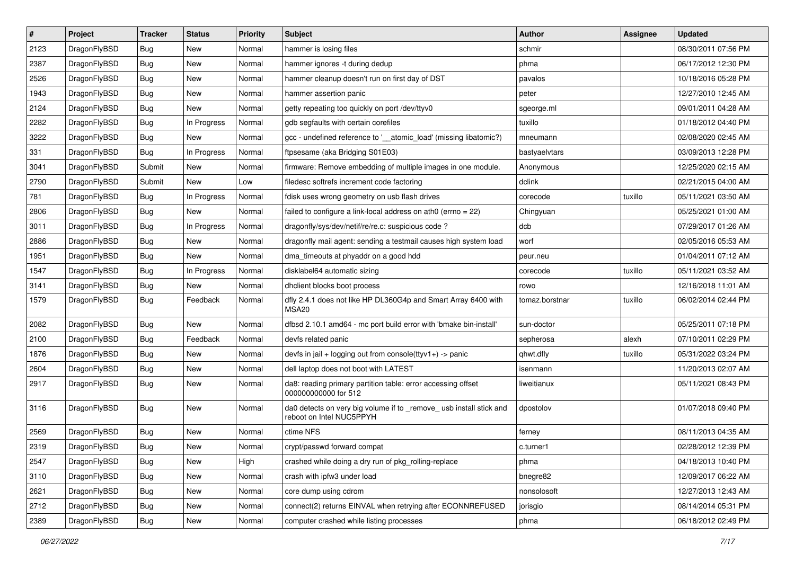| $\sharp$ | Project      | <b>Tracker</b> | <b>Status</b> | <b>Priority</b> | Subject                                                                                        | Author         | Assignee | <b>Updated</b>      |
|----------|--------------|----------------|---------------|-----------------|------------------------------------------------------------------------------------------------|----------------|----------|---------------------|
| 2123     | DragonFlyBSD | <b>Bug</b>     | New           | Normal          | hammer is losing files                                                                         | schmir         |          | 08/30/2011 07:56 PM |
| 2387     | DragonFlyBSD | Bug            | New           | Normal          | hammer ignores -t during dedup                                                                 | phma           |          | 06/17/2012 12:30 PM |
| 2526     | DragonFlyBSD | Bug            | New           | Normal          | hammer cleanup doesn't run on first day of DST                                                 | pavalos        |          | 10/18/2016 05:28 PM |
| 1943     | DragonFlyBSD | <b>Bug</b>     | <b>New</b>    | Normal          | hammer assertion panic                                                                         | peter          |          | 12/27/2010 12:45 AM |
| 2124     | DragonFlyBSD | <b>Bug</b>     | <b>New</b>    | Normal          | getty repeating too quickly on port /dev/ttyv0                                                 | sgeorge.ml     |          | 09/01/2011 04:28 AM |
| 2282     | DragonFlyBSD | <b>Bug</b>     | In Progress   | Normal          | gdb segfaults with certain corefiles                                                           | tuxillo        |          | 01/18/2012 04:40 PM |
| 3222     | DragonFlyBSD | <b>Bug</b>     | <b>New</b>    | Normal          | gcc - undefined reference to '__atomic_load' (missing libatomic?)                              | mneumann       |          | 02/08/2020 02:45 AM |
| 331      | DragonFlyBSD | <b>Bug</b>     | In Progress   | Normal          | ftpsesame (aka Bridging S01E03)                                                                | bastyaelvtars  |          | 03/09/2013 12:28 PM |
| 3041     | DragonFlyBSD | Submit         | <b>New</b>    | Normal          | firmware: Remove embedding of multiple images in one module.                                   | Anonymous      |          | 12/25/2020 02:15 AM |
| 2790     | DragonFlyBSD | Submit         | New           | Low             | filedesc softrefs increment code factoring                                                     | dclink         |          | 02/21/2015 04:00 AM |
| 781      | DragonFlyBSD | <b>Bug</b>     | In Progress   | Normal          | fdisk uses wrong geometry on usb flash drives                                                  | corecode       | tuxillo  | 05/11/2021 03:50 AM |
| 2806     | DragonFlyBSD | <b>Bug</b>     | <b>New</b>    | Normal          | failed to configure a link-local address on ath0 (errno = 22)                                  | Chingyuan      |          | 05/25/2021 01:00 AM |
| 3011     | DragonFlyBSD | Bug            | In Progress   | Normal          | dragonfly/sys/dev/netif/re/re.c: suspicious code ?                                             | dcb            |          | 07/29/2017 01:26 AM |
| 2886     | DragonFlyBSD | <b>Bug</b>     | New           | Normal          | dragonfly mail agent: sending a testmail causes high system load                               | worf           |          | 02/05/2016 05:53 AM |
| 1951     | DragonFlyBSD | <b>Bug</b>     | New           | Normal          | dma_timeouts at phyaddr on a good hdd                                                          | peur.neu       |          | 01/04/2011 07:12 AM |
| 1547     | DragonFlyBSD | <b>Bug</b>     | In Progress   | Normal          | disklabel64 automatic sizing                                                                   | corecode       | tuxillo  | 05/11/2021 03:52 AM |
| 3141     | DragonFlyBSD | <b>Bug</b>     | <b>New</b>    | Normal          | dhclient blocks boot process                                                                   | rowo           |          | 12/16/2018 11:01 AM |
| 1579     | DragonFlyBSD | <b>Bug</b>     | Feedback      | Normal          | dfly 2.4.1 does not like HP DL360G4p and Smart Array 6400 with<br>MSA20                        | tomaz.borstnar | tuxillo  | 06/02/2014 02:44 PM |
| 2082     | DragonFlyBSD | Bug            | <b>New</b>    | Normal          | dfbsd 2.10.1 amd64 - mc port build error with 'bmake bin-install'                              | sun-doctor     |          | 05/25/2011 07:18 PM |
| 2100     | DragonFlyBSD | Bug            | Feedback      | Normal          | devfs related panic                                                                            | sepherosa      | alexh    | 07/10/2011 02:29 PM |
| 1876     | DragonFlyBSD | <b>Bug</b>     | New           | Normal          | devfs in jail + logging out from console(ttyv1+) -> panic                                      | qhwt.dfly      | tuxillo  | 05/31/2022 03:24 PM |
| 2604     | DragonFlyBSD | <b>Bug</b>     | <b>New</b>    | Normal          | dell laptop does not boot with LATEST                                                          | isenmann       |          | 11/20/2013 02:07 AM |
| 2917     | DragonFlyBSD | <b>Bug</b>     | New           | Normal          | da8: reading primary partition table: error accessing offset<br>000000000000 for 512           | liweitianux    |          | 05/11/2021 08:43 PM |
| 3116     | DragonFlyBSD | <b>Bug</b>     | New           | Normal          | da0 detects on very big volume if to _remove_usb install stick and<br>reboot on Intel NUC5PPYH | dpostolov      |          | 01/07/2018 09:40 PM |
| 2569     | DragonFlyBSD | <b>Bug</b>     | New           | Normal          | ctime NFS                                                                                      | ferney         |          | 08/11/2013 04:35 AM |
| 2319     | DragonFlyBSD | Bug            | <b>New</b>    | Normal          | crypt/passwd forward compat                                                                    | c.turner1      |          | 02/28/2012 12:39 PM |
| 2547     | DragonFlyBSD | <b>Bug</b>     | <b>New</b>    | High            | crashed while doing a dry run of pkg rolling-replace                                           | phma           |          | 04/18/2013 10:40 PM |
| 3110     | DragonFlyBSD | Bug            | <b>New</b>    | Normal          | crash with ipfw3 under load                                                                    | bnegre82       |          | 12/09/2017 06:22 AM |
| 2621     | DragonFlyBSD | Bug            | New           | Normal          | core dump using cdrom                                                                          | nonsolosoft    |          | 12/27/2013 12:43 AM |
| 2712     | DragonFlyBSD | Bug            | New           | Normal          | connect(2) returns EINVAL when retrying after ECONNREFUSED                                     | jorisgio       |          | 08/14/2014 05:31 PM |
| 2389     | DragonFlyBSD | <b>Bug</b>     | New           | Normal          | computer crashed while listing processes                                                       | phma           |          | 06/18/2012 02:49 PM |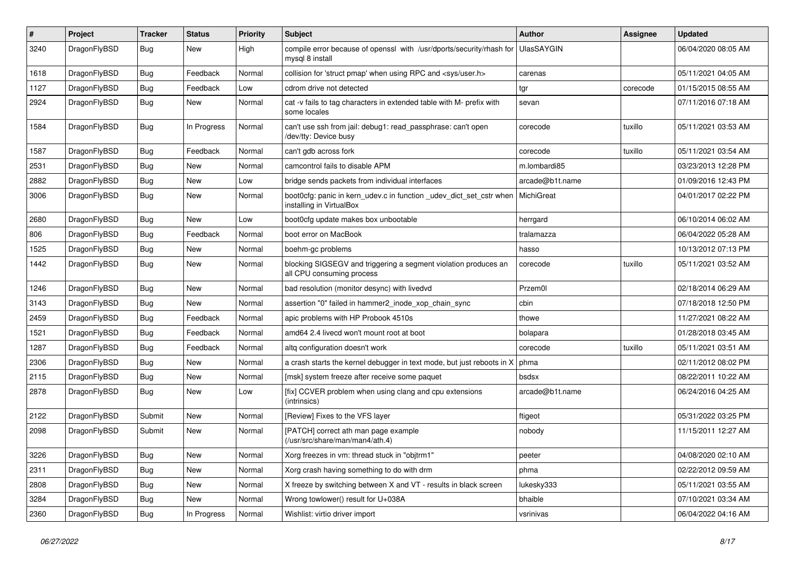| #    | Project      | <b>Tracker</b> | <b>Status</b> | <b>Priority</b> | Subject                                                                                         | <b>Author</b>     | <b>Assignee</b> | <b>Updated</b>      |
|------|--------------|----------------|---------------|-----------------|-------------------------------------------------------------------------------------------------|-------------------|-----------------|---------------------|
| 3240 | DragonFlyBSD | Bug            | New           | High            | compile error because of openssl with /usr/dports/security/rhash for<br>mysql 8 install         | <b>UlasSAYGIN</b> |                 | 06/04/2020 08:05 AM |
| 1618 | DragonFlyBSD | <b>Bug</b>     | Feedback      | Normal          | collision for 'struct pmap' when using RPC and <sys user.h=""></sys>                            | carenas           |                 | 05/11/2021 04:05 AM |
| 1127 | DragonFlyBSD | <b>Bug</b>     | Feedback      | Low             | cdrom drive not detected                                                                        | tgr               | corecode        | 01/15/2015 08:55 AM |
| 2924 | DragonFlyBSD | Bug            | New           | Normal          | cat -v fails to tag characters in extended table with M- prefix with<br>some locales            | sevan             |                 | 07/11/2016 07:18 AM |
| 1584 | DragonFlyBSD | Bug            | In Progress   | Normal          | can't use ssh from jail: debug1: read_passphrase: can't open<br>/dev/tty: Device busy           | corecode          | tuxillo         | 05/11/2021 03:53 AM |
| 1587 | DragonFlyBSD | Bug            | Feedback      | Normal          | can't gdb across fork                                                                           | corecode          | tuxillo         | 05/11/2021 03:54 AM |
| 2531 | DragonFlyBSD | Bug            | New           | Normal          | camcontrol fails to disable APM                                                                 | m.lombardi85      |                 | 03/23/2013 12:28 PM |
| 2882 | DragonFlyBSD | <b>Bug</b>     | New           | Low             | bridge sends packets from individual interfaces                                                 | arcade@b1t.name   |                 | 01/09/2016 12:43 PM |
| 3006 | DragonFlyBSD | Bug            | <b>New</b>    | Normal          | boot0cfg: panic in kern_udev.c in function _udev_dict_set_cstr when<br>installing in VirtualBox | MichiGreat        |                 | 04/01/2017 02:22 PM |
| 2680 | DragonFlyBSD | Bug            | New           | Low             | boot0cfg update makes box unbootable                                                            | herrgard          |                 | 06/10/2014 06:02 AM |
| 806  | DragonFlyBSD | Bug            | Feedback      | Normal          | boot error on MacBook                                                                           | tralamazza        |                 | 06/04/2022 05:28 AM |
| 1525 | DragonFlyBSD | Bug            | New           | Normal          | boehm-gc problems                                                                               | hasso             |                 | 10/13/2012 07:13 PM |
| 1442 | DragonFlyBSD | Bug            | New           | Normal          | blocking SIGSEGV and triggering a segment violation produces an<br>all CPU consuming process    | corecode          | tuxillo         | 05/11/2021 03:52 AM |
| 1246 | DragonFlyBSD | Bug            | <b>New</b>    | Normal          | bad resolution (monitor desync) with livedvd                                                    | Przem0l           |                 | 02/18/2014 06:29 AM |
| 3143 | DragonFlyBSD | Bug            | <b>New</b>    | Normal          | assertion "0" failed in hammer2 inode xop chain sync                                            | cbin              |                 | 07/18/2018 12:50 PM |
| 2459 | DragonFlyBSD | Bug            | Feedback      | Normal          | apic problems with HP Probook 4510s                                                             | thowe             |                 | 11/27/2021 08:22 AM |
| 1521 | DragonFlyBSD | Bug            | Feedback      | Normal          | amd64 2.4 livecd won't mount root at boot                                                       | bolapara          |                 | 01/28/2018 03:45 AM |
| 1287 | DragonFlyBSD | Bug            | Feedback      | Normal          | altg configuration doesn't work                                                                 | corecode          | tuxillo         | 05/11/2021 03:51 AM |
| 2306 | DragonFlyBSD | Bug            | New           | Normal          | a crash starts the kernel debugger in text mode, but just reboots in X                          | phma              |                 | 02/11/2012 08:02 PM |
| 2115 | DragonFlyBSD | <b>Bug</b>     | New           | Normal          | [msk] system freeze after receive some paquet                                                   | bsdsx             |                 | 08/22/2011 10:22 AM |
| 2878 | DragonFlyBSD | Bug            | New           | Low             | [fix] CCVER problem when using clang and cpu extensions<br>(intrinsics)                         | arcade@b1t.name   |                 | 06/24/2016 04:25 AM |
| 2122 | DragonFlyBSD | Submit         | New           | Normal          | [Review] Fixes to the VFS layer                                                                 | ftigeot           |                 | 05/31/2022 03:25 PM |
| 2098 | DragonFlyBSD | Submit         | New           | Normal          | [PATCH] correct ath man page example<br>(/usr/src/share/man/man4/ath.4)                         | nobody            |                 | 11/15/2011 12:27 AM |
| 3226 | DragonFlyBSD | <b>Bug</b>     | <b>New</b>    | Normal          | Xorg freezes in vm: thread stuck in "objtrm1"                                                   | peeter            |                 | 04/08/2020 02:10 AM |
| 2311 | DragonFlyBSD | <b>Bug</b>     | New           | Normal          | Xorg crash having something to do with drm                                                      | phma              |                 | 02/22/2012 09:59 AM |
| 2808 | DragonFlyBSD | <b>Bug</b>     | New           | Normal          | X freeze by switching between X and VT - results in black screen                                | lukesky333        |                 | 05/11/2021 03:55 AM |
| 3284 | DragonFlyBSD | <b>Bug</b>     | New           | Normal          | Wrong towlower() result for U+038A                                                              | bhaible           |                 | 07/10/2021 03:34 AM |
| 2360 | DragonFlyBSD | <b>Bug</b>     | In Progress   | Normal          | Wishlist: virtio driver import                                                                  | vsrinivas         |                 | 06/04/2022 04:16 AM |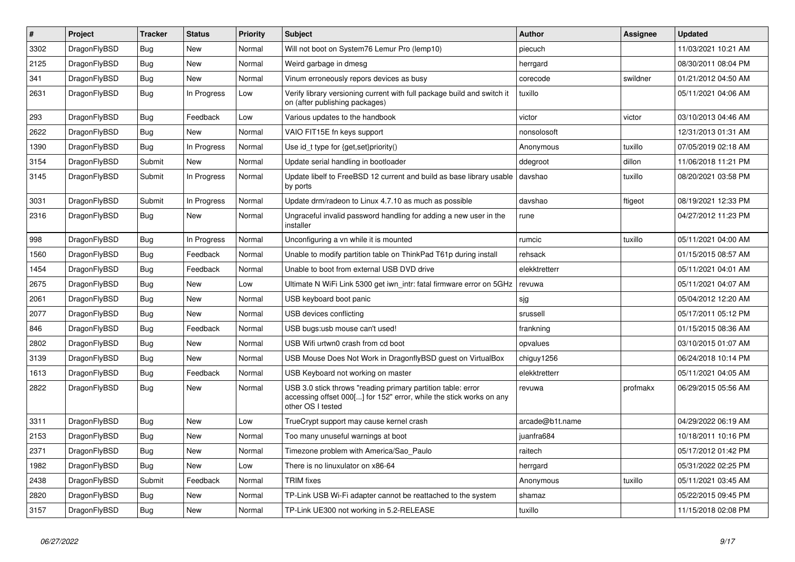| $\vert$ # | <b>Project</b> | <b>Tracker</b> | <b>Status</b> | <b>Priority</b> | <b>Subject</b>                                                                                                                                           | <b>Author</b>   | Assignee | <b>Updated</b>      |
|-----------|----------------|----------------|---------------|-----------------|----------------------------------------------------------------------------------------------------------------------------------------------------------|-----------------|----------|---------------------|
| 3302      | DragonFlyBSD   | Bug            | <b>New</b>    | Normal          | Will not boot on System76 Lemur Pro (lemp10)                                                                                                             | piecuch         |          | 11/03/2021 10:21 AM |
| 2125      | DragonFlyBSD   | <b>Bug</b>     | <b>New</b>    | Normal          | Weird garbage in dmesg                                                                                                                                   | herrgard        |          | 08/30/2011 08:04 PM |
| 341       | DragonFlyBSD   | <b>Bug</b>     | <b>New</b>    | Normal          | Vinum erroneously repors devices as busy                                                                                                                 | corecode        | swildner | 01/21/2012 04:50 AM |
| 2631      | DragonFlyBSD   | Bug            | In Progress   | Low             | Verify library versioning current with full package build and switch it<br>on (after publishing packages)                                                | tuxillo         |          | 05/11/2021 04:06 AM |
| 293       | DragonFlyBSD   | Bug            | Feedback      | Low             | Various updates to the handbook                                                                                                                          | victor          | victor   | 03/10/2013 04:46 AM |
| 2622      | DragonFlyBSD   | Bug            | <b>New</b>    | Normal          | VAIO FIT15E fn keys support                                                                                                                              | nonsolosoft     |          | 12/31/2013 01:31 AM |
| 1390      | DragonFlyBSD   | Bug            | In Progress   | Normal          | Use id t type for $\{get, set\}$ priority $()$                                                                                                           | Anonymous       | tuxillo  | 07/05/2019 02:18 AM |
| 3154      | DragonFlyBSD   | Submit         | New           | Normal          | Update serial handling in bootloader                                                                                                                     | ddegroot        | dillon   | 11/06/2018 11:21 PM |
| 3145      | DragonFlyBSD   | Submit         | In Progress   | Normal          | Update libelf to FreeBSD 12 current and build as base library usable<br>by ports                                                                         | davshao         | tuxillo  | 08/20/2021 03:58 PM |
| 3031      | DragonFlyBSD   | Submit         | In Progress   | Normal          | Update drm/radeon to Linux 4.7.10 as much as possible                                                                                                    | davshao         | ftigeot  | 08/19/2021 12:33 PM |
| 2316      | DragonFlyBSD   | <b>Bug</b>     | <b>New</b>    | Normal          | Ungraceful invalid password handling for adding a new user in the<br>installer                                                                           | rune            |          | 04/27/2012 11:23 PM |
| 998       | DragonFlyBSD   | <b>Bug</b>     | In Progress   | Normal          | Unconfiguring a vn while it is mounted                                                                                                                   | rumcic          | tuxillo  | 05/11/2021 04:00 AM |
| 1560      | DragonFlyBSD   | Bug            | Feedback      | Normal          | Unable to modify partition table on ThinkPad T61p during install                                                                                         | rehsack         |          | 01/15/2015 08:57 AM |
| 1454      | DragonFlyBSD   | Bug            | Feedback      | Normal          | Unable to boot from external USB DVD drive                                                                                                               | elekktretterr   |          | 05/11/2021 04:01 AM |
| 2675      | DragonFlyBSD   | <b>Bug</b>     | <b>New</b>    | Low             | Ultimate N WiFi Link 5300 get iwn intr: fatal firmware error on 5GHz                                                                                     | revuwa          |          | 05/11/2021 04:07 AM |
| 2061      | DragonFlyBSD   | <b>Bug</b>     | <b>New</b>    | Normal          | USB keyboard boot panic                                                                                                                                  | sjg             |          | 05/04/2012 12:20 AM |
| 2077      | DragonFlyBSD   | <b>Bug</b>     | <b>New</b>    | Normal          | USB devices conflicting                                                                                                                                  | srussell        |          | 05/17/2011 05:12 PM |
| 846       | DragonFlyBSD   | Bug            | Feedback      | Normal          | USB bugs:usb mouse can't used!                                                                                                                           | frankning       |          | 01/15/2015 08:36 AM |
| 2802      | DragonFlyBSD   | <b>Bug</b>     | <b>New</b>    | Normal          | USB Wifi urtwn0 crash from cd boot                                                                                                                       | opvalues        |          | 03/10/2015 01:07 AM |
| 3139      | DragonFlyBSD   | <b>Bug</b>     | <b>New</b>    | Normal          | USB Mouse Does Not Work in DragonflyBSD guest on VirtualBox                                                                                              | chiguy1256      |          | 06/24/2018 10:14 PM |
| 1613      | DragonFlyBSD   | <b>Bug</b>     | Feedback      | Normal          | USB Keyboard not working on master                                                                                                                       | elekktretterr   |          | 05/11/2021 04:05 AM |
| 2822      | DragonFlyBSD   | Bug            | <b>New</b>    | Normal          | USB 3.0 stick throws "reading primary partition table: error<br>accessing offset 000[] for 152" error, while the stick works on any<br>other OS I tested | revuwa          | profmakx | 06/29/2015 05:56 AM |
| 3311      | DragonFlyBSD   | <b>Bug</b>     | <b>New</b>    | Low             | TrueCrypt support may cause kernel crash                                                                                                                 | arcade@b1t.name |          | 04/29/2022 06:19 AM |
| 2153      | DragonFlyBSD   | <b>Bug</b>     | <b>New</b>    | Normal          | Too many unuseful warnings at boot                                                                                                                       | juanfra684      |          | 10/18/2011 10:16 PM |
| 2371      | DragonFlyBSD   | <b>Bug</b>     | New           | Normal          | Timezone problem with America/Sao Paulo                                                                                                                  | raitech         |          | 05/17/2012 01:42 PM |
| 1982      | DragonFlyBSD   | <b>Bug</b>     | <b>New</b>    | Low             | There is no linuxulator on x86-64                                                                                                                        | herrgard        |          | 05/31/2022 02:25 PM |
| 2438      | DragonFlyBSD   | Submit         | Feedback      | Normal          | TRIM fixes                                                                                                                                               | Anonymous       | tuxillo  | 05/11/2021 03:45 AM |
| 2820      | DragonFlyBSD   | Bug            | <b>New</b>    | Normal          | TP-Link USB Wi-Fi adapter cannot be reattached to the system                                                                                             | shamaz          |          | 05/22/2015 09:45 PM |
| 3157      | DragonFlyBSD   | Bug            | <b>New</b>    | Normal          | TP-Link UE300 not working in 5.2-RELEASE                                                                                                                 | tuxillo         |          | 11/15/2018 02:08 PM |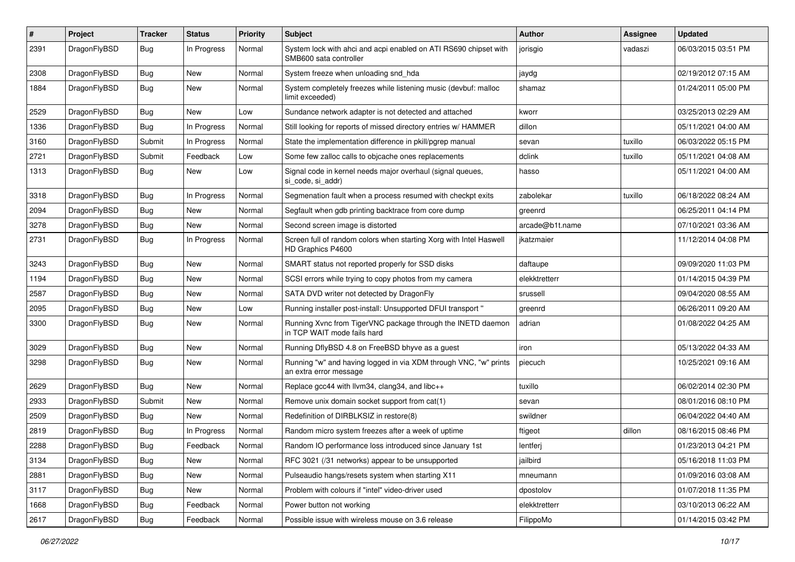| $\#$ | Project      | <b>Tracker</b> | <b>Status</b> | <b>Priority</b> | Subject                                                                                    | <b>Author</b>   | Assignee | <b>Updated</b>      |
|------|--------------|----------------|---------------|-----------------|--------------------------------------------------------------------------------------------|-----------------|----------|---------------------|
| 2391 | DragonFlyBSD | Bug            | In Progress   | Normal          | System lock with ahci and acpi enabled on ATI RS690 chipset with<br>SMB600 sata controller | jorisgio        | vadaszi  | 06/03/2015 03:51 PM |
| 2308 | DragonFlyBSD | Bug            | <b>New</b>    | Normal          | System freeze when unloading snd_hda                                                       | jaydg           |          | 02/19/2012 07:15 AM |
| 1884 | DragonFlyBSD | Bug            | New           | Normal          | System completely freezes while listening music (devbuf: malloc<br>limit exceeded)         | shamaz          |          | 01/24/2011 05:00 PM |
| 2529 | DragonFlyBSD | <b>Bug</b>     | <b>New</b>    | Low             | Sundance network adapter is not detected and attached                                      | kworr           |          | 03/25/2013 02:29 AM |
| 1336 | DragonFlyBSD | Bug            | In Progress   | Normal          | Still looking for reports of missed directory entries w/ HAMMER                            | dillon          |          | 05/11/2021 04:00 AM |
| 3160 | DragonFlyBSD | Submit         | In Progress   | Normal          | State the implementation difference in pkill/pgrep manual                                  | sevan           | tuxillo  | 06/03/2022 05:15 PM |
| 2721 | DragonFlyBSD | Submit         | Feedback      | Low             | Some few zalloc calls to objcache ones replacements                                        | dclink          | tuxillo  | 05/11/2021 04:08 AM |
| 1313 | DragonFlyBSD | Bug            | New           | Low             | Signal code in kernel needs major overhaul (signal queues,<br>si_code, si_addr)            | hasso           |          | 05/11/2021 04:00 AM |
| 3318 | DragonFlyBSD | Bug            | In Progress   | Normal          | Segmenation fault when a process resumed with checkpt exits                                | zabolekar       | tuxillo  | 06/18/2022 08:24 AM |
| 2094 | DragonFlyBSD | Bug            | <b>New</b>    | Normal          | Segfault when gdb printing backtrace from core dump                                        | greenrd         |          | 06/25/2011 04:14 PM |
| 3278 | DragonFlyBSD | Bug            | New           | Normal          | Second screen image is distorted                                                           | arcade@b1t.name |          | 07/10/2021 03:36 AM |
| 2731 | DragonFlyBSD | Bug            | In Progress   | Normal          | Screen full of random colors when starting Xorg with Intel Haswell<br>HD Graphics P4600    | jkatzmaier      |          | 11/12/2014 04:08 PM |
| 3243 | DragonFlyBSD | Bug            | <b>New</b>    | Normal          | SMART status not reported properly for SSD disks                                           | daftaupe        |          | 09/09/2020 11:03 PM |
| 1194 | DragonFlyBSD | <b>Bug</b>     | <b>New</b>    | Normal          | SCSI errors while trying to copy photos from my camera                                     | elekktretterr   |          | 01/14/2015 04:39 PM |
| 2587 | DragonFlyBSD | <b>Bug</b>     | New           | Normal          | SATA DVD writer not detected by DragonFly                                                  | srussell        |          | 09/04/2020 08:55 AM |
| 2095 | DragonFlyBSD | <b>Bug</b>     | New           | Low             | Running installer post-install: Unsupported DFUI transport "                               | greenrd         |          | 06/26/2011 09:20 AM |
| 3300 | DragonFlyBSD | Bug            | <b>New</b>    | Normal          | Running Xvnc from TigerVNC package through the INETD daemon<br>in TCP WAIT mode fails hard | adrian          |          | 01/08/2022 04:25 AM |
| 3029 | DragonFlyBSD | Bug            | <b>New</b>    | Normal          | Running DflyBSD 4.8 on FreeBSD bhyve as a guest                                            | iron            |          | 05/13/2022 04:33 AM |
| 3298 | DragonFlyBSD | <b>Bug</b>     | New           | Normal          | Running "w" and having logged in via XDM through VNC, "w" prints<br>an extra error message | piecuch         |          | 10/25/2021 09:16 AM |
| 2629 | DragonFlyBSD | Bug            | <b>New</b>    | Normal          | Replace gcc44 with llvm34, clang34, and libc++                                             | tuxillo         |          | 06/02/2014 02:30 PM |
| 2933 | DragonFlyBSD | Submit         | New           | Normal          | Remove unix domain socket support from cat(1)                                              | sevan           |          | 08/01/2016 08:10 PM |
| 2509 | DragonFlyBSD | <b>Bug</b>     | New           | Normal          | Redefinition of DIRBLKSIZ in restore(8)                                                    | swildner        |          | 06/04/2022 04:40 AM |
| 2819 | DragonFlyBSD | <b>Bug</b>     | In Progress   | Normal          | Random micro system freezes after a week of uptime                                         | ftigeot         | dillon   | 08/16/2015 08:46 PM |
| 2288 | DragonFlyBSD | <b>Bug</b>     | Feedback      | Normal          | Random IO performance loss introduced since January 1st                                    | lentferi        |          | 01/23/2013 04:21 PM |
| 3134 | DragonFlyBSD | Bug            | New           | Normal          | RFC 3021 (/31 networks) appear to be unsupported                                           | jailbird        |          | 05/16/2018 11:03 PM |
| 2881 | DragonFlyBSD | Bug            | New           | Normal          | Pulseaudio hangs/resets system when starting X11                                           | mneumann        |          | 01/09/2016 03:08 AM |
| 3117 | DragonFlyBSD | <b>Bug</b>     | New           | Normal          | Problem with colours if "intel" video-driver used                                          | dpostolov       |          | 01/07/2018 11:35 PM |
| 1668 | DragonFlyBSD | <b>Bug</b>     | Feedback      | Normal          | Power button not working                                                                   | elekktretterr   |          | 03/10/2013 06:22 AM |
| 2617 | DragonFlyBSD | <b>Bug</b>     | Feedback      | Normal          | Possible issue with wireless mouse on 3.6 release                                          | FilippoMo       |          | 01/14/2015 03:42 PM |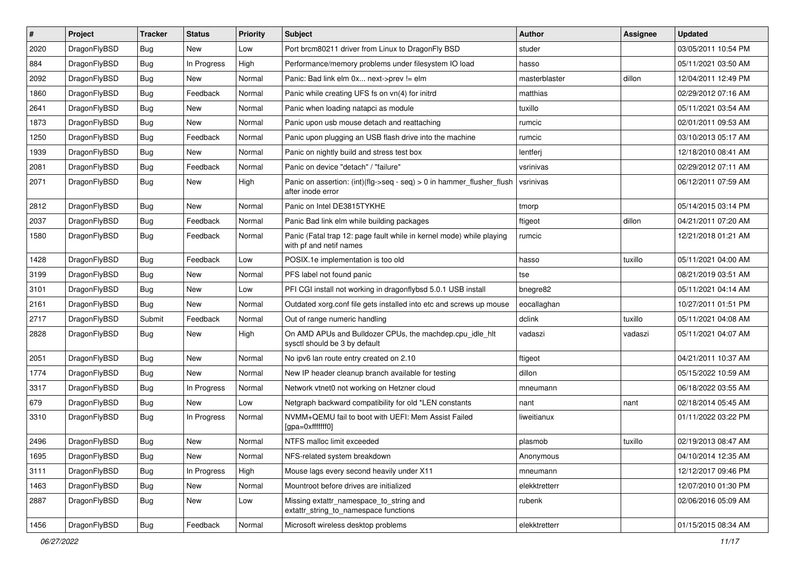| #    | Project      | <b>Tracker</b> | <b>Status</b> | <b>Priority</b> | <b>Subject</b>                                                                                  | <b>Author</b> | <b>Assignee</b> | <b>Updated</b>      |
|------|--------------|----------------|---------------|-----------------|-------------------------------------------------------------------------------------------------|---------------|-----------------|---------------------|
| 2020 | DragonFlyBSD | Bug            | New           | Low             | Port brcm80211 driver from Linux to DragonFly BSD                                               | studer        |                 | 03/05/2011 10:54 PM |
| 884  | DragonFlyBSD | Bug            | In Progress   | High            | Performance/memory problems under filesystem IO load                                            | hasso         |                 | 05/11/2021 03:50 AM |
| 2092 | DragonFlyBSD | Bug            | New           | Normal          | Panic: Bad link elm 0x next->prev != elm                                                        | masterblaster | dillon          | 12/04/2011 12:49 PM |
| 1860 | DragonFlyBSD | Bug            | Feedback      | Normal          | Panic while creating UFS fs on vn(4) for initrd                                                 | matthias      |                 | 02/29/2012 07:16 AM |
| 2641 | DragonFlyBSD | Bug            | <b>New</b>    | Normal          | Panic when loading natapci as module                                                            | tuxillo       |                 | 05/11/2021 03:54 AM |
| 1873 | DragonFlyBSD | Bug            | New           | Normal          | Panic upon usb mouse detach and reattaching                                                     | rumcic        |                 | 02/01/2011 09:53 AM |
| 1250 | DragonFlyBSD | Bug            | Feedback      | Normal          | Panic upon plugging an USB flash drive into the machine                                         | rumcic        |                 | 03/10/2013 05:17 AM |
| 1939 | DragonFlyBSD | Bug            | New           | Normal          | Panic on nightly build and stress test box                                                      | lentferj      |                 | 12/18/2010 08:41 AM |
| 2081 | DragonFlyBSD | Bug            | Feedback      | Normal          | Panic on device "detach" / "failure"                                                            | vsrinivas     |                 | 02/29/2012 07:11 AM |
| 2071 | DragonFlyBSD | <b>Bug</b>     | New           | High            | Panic on assertion: (int)(flg->seq - seq) > 0 in hammer_flusher_flush<br>after inode error      | vsrinivas     |                 | 06/12/2011 07:59 AM |
| 2812 | DragonFlyBSD | <b>Bug</b>     | New           | Normal          | Panic on Intel DE3815TYKHE                                                                      | tmorp         |                 | 05/14/2015 03:14 PM |
| 2037 | DragonFlyBSD | <b>Bug</b>     | Feedback      | Normal          | Panic Bad link elm while building packages                                                      | ftigeot       | dillon          | 04/21/2011 07:20 AM |
| 1580 | DragonFlyBSD | <b>Bug</b>     | Feedback      | Normal          | Panic (Fatal trap 12: page fault while in kernel mode) while playing<br>with pf and netif names | rumcic        |                 | 12/21/2018 01:21 AM |
| 1428 | DragonFlyBSD | <b>Bug</b>     | Feedback      | Low             | POSIX.1e implementation is too old                                                              | hasso         | tuxillo         | 05/11/2021 04:00 AM |
| 3199 | DragonFlyBSD | <b>Bug</b>     | New           | Normal          | PFS label not found panic                                                                       | tse           |                 | 08/21/2019 03:51 AM |
| 3101 | DragonFlyBSD | <b>Bug</b>     | New           | Low             | PFI CGI install not working in dragonflybsd 5.0.1 USB install                                   | bnegre82      |                 | 05/11/2021 04:14 AM |
| 2161 | DragonFlyBSD | <b>Bug</b>     | New           | Normal          | Outdated xorg.conf file gets installed into etc and screws up mouse                             | eocallaghan   |                 | 10/27/2011 01:51 PM |
| 2717 | DragonFlyBSD | Submit         | Feedback      | Normal          | Out of range numeric handling                                                                   | dclink        | tuxillo         | 05/11/2021 04:08 AM |
| 2828 | DragonFlyBSD | <b>Bug</b>     | New           | High            | On AMD APUs and Bulldozer CPUs, the machdep.cpu_idle_hlt<br>sysctl should be 3 by default       | vadaszi       | vadaszi         | 05/11/2021 04:07 AM |
| 2051 | DragonFlyBSD | <b>Bug</b>     | New           | Normal          | No ipv6 lan route entry created on 2.10                                                         | ftigeot       |                 | 04/21/2011 10:37 AM |
| 1774 | DragonFlyBSD | <b>Bug</b>     | New           | Normal          | New IP header cleanup branch available for testing                                              | dillon        |                 | 05/15/2022 10:59 AM |
| 3317 | DragonFlyBSD | <b>Bug</b>     | In Progress   | Normal          | Network vtnet0 not working on Hetzner cloud                                                     | mneumann      |                 | 06/18/2022 03:55 AM |
| 679  | DragonFlyBSD | <b>Bug</b>     | <b>New</b>    | Low             | Netgraph backward compatibility for old *LEN constants                                          | nant          | nant            | 02/18/2014 05:45 AM |
| 3310 | DragonFlyBSD | <b>Bug</b>     | In Progress   | Normal          | NVMM+QEMU fail to boot with UEFI: Mem Assist Failed<br>[gpa=0xfffffff0]                         | liweitianux   |                 | 01/11/2022 03:22 PM |
| 2496 | DragonFlyBSD | <b>Bug</b>     | New           | Normal          | NTFS malloc limit exceeded                                                                      | plasmob       | tuxillo         | 02/19/2013 08:47 AM |
| 1695 | DragonFlyBSD | <b>Bug</b>     | New           | Normal          | NFS-related system breakdown                                                                    | Anonymous     |                 | 04/10/2014 12:35 AM |
| 3111 | DragonFlyBSD | <b>Bug</b>     | In Progress   | High            | Mouse lags every second heavily under X11                                                       | mneumann      |                 | 12/12/2017 09:46 PM |
| 1463 | DragonFlyBSD | <b>Bug</b>     | New           | Normal          | Mountroot before drives are initialized                                                         | elekktretterr |                 | 12/07/2010 01:30 PM |
| 2887 | DragonFlyBSD | <b>Bug</b>     | New           | Low             | Missing extattr_namespace_to_string and<br>extattr_string_to_namespace functions                | rubenk        |                 | 02/06/2016 05:09 AM |
| 1456 | DragonFlyBSD | Bug            | Feedback      | Normal          | Microsoft wireless desktop problems                                                             | elekktretterr |                 | 01/15/2015 08:34 AM |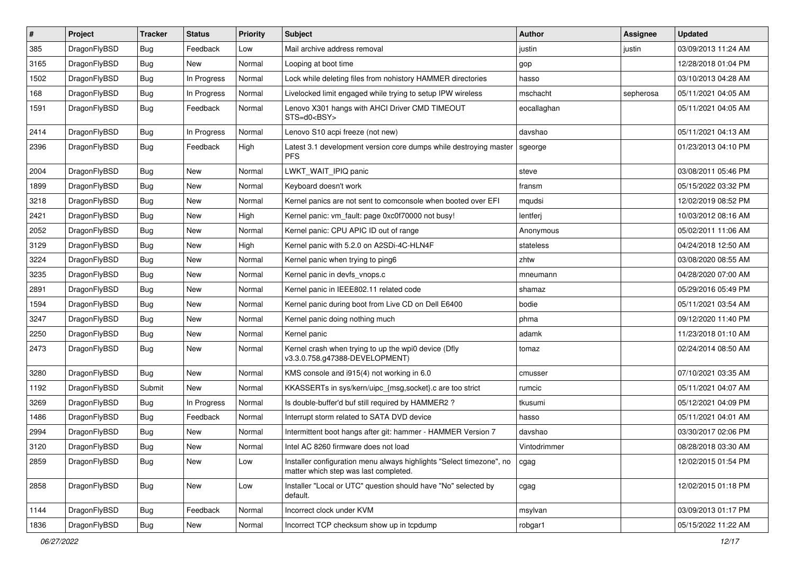| $\vert$ # | Project      | <b>Tracker</b> | <b>Status</b> | <b>Priority</b> | <b>Subject</b>                                                                                                | Author       | <b>Assignee</b> | <b>Updated</b>      |
|-----------|--------------|----------------|---------------|-----------------|---------------------------------------------------------------------------------------------------------------|--------------|-----------------|---------------------|
| 385       | DragonFlyBSD | <b>Bug</b>     | Feedback      | Low             | Mail archive address removal                                                                                  | justin       | justin          | 03/09/2013 11:24 AM |
| 3165      | DragonFlyBSD | <b>Bug</b>     | New           | Normal          | Looping at boot time                                                                                          | gop          |                 | 12/28/2018 01:04 PM |
| 1502      | DragonFlyBSD | <b>Bug</b>     | In Progress   | Normal          | Lock while deleting files from nohistory HAMMER directories                                                   | hasso        |                 | 03/10/2013 04:28 AM |
| 168       | DragonFlyBSD | <b>Bug</b>     | In Progress   | Normal          | Livelocked limit engaged while trying to setup IPW wireless                                                   | mschacht     | sepherosa       | 05/11/2021 04:05 AM |
| 1591      | DragonFlyBSD | Bug            | Feedback      | Normal          | Lenovo X301 hangs with AHCI Driver CMD TIMEOUT<br>STS=d0 <bsy></bsy>                                          | eocallaghan  |                 | 05/11/2021 04:05 AM |
| 2414      | DragonFlyBSD | Bug            | In Progress   | Normal          | Lenovo S10 acpi freeze (not new)                                                                              | davshao      |                 | 05/11/2021 04:13 AM |
| 2396      | DragonFlyBSD | Bug            | Feedback      | High            | Latest 3.1 development version core dumps while destroying master<br><b>PFS</b>                               | sgeorge      |                 | 01/23/2013 04:10 PM |
| 2004      | DragonFlyBSD | <b>Bug</b>     | <b>New</b>    | Normal          | LWKT_WAIT_IPIQ panic                                                                                          | steve        |                 | 03/08/2011 05:46 PM |
| 1899      | DragonFlyBSD | <b>Bug</b>     | <b>New</b>    | Normal          | Keyboard doesn't work                                                                                         | fransm       |                 | 05/15/2022 03:32 PM |
| 3218      | DragonFlyBSD | Bug            | New           | Normal          | Kernel panics are not sent to comconsole when booted over EFI                                                 | mqudsi       |                 | 12/02/2019 08:52 PM |
| 2421      | DragonFlyBSD | <b>Bug</b>     | <b>New</b>    | High            | Kernel panic: vm_fault: page 0xc0f70000 not busy!                                                             | lentferj     |                 | 10/03/2012 08:16 AM |
| 2052      | DragonFlyBSD | <b>Bug</b>     | <b>New</b>    | Normal          | Kernel panic: CPU APIC ID out of range                                                                        | Anonymous    |                 | 05/02/2011 11:06 AM |
| 3129      | DragonFlyBSD | Bug            | <b>New</b>    | High            | Kernel panic with 5.2.0 on A2SDi-4C-HLN4F                                                                     | stateless    |                 | 04/24/2018 12:50 AM |
| 3224      | DragonFlyBSD | <b>Bug</b>     | <b>New</b>    | Normal          | Kernel panic when trying to ping6                                                                             | zhtw         |                 | 03/08/2020 08:55 AM |
| 3235      | DragonFlyBSD | Bug            | <b>New</b>    | Normal          | Kernel panic in devfs_vnops.c                                                                                 | mneumann     |                 | 04/28/2020 07:00 AM |
| 2891      | DragonFlyBSD | Bug            | <b>New</b>    | Normal          | Kernel panic in IEEE802.11 related code                                                                       | shamaz       |                 | 05/29/2016 05:49 PM |
| 1594      | DragonFlyBSD | <b>Bug</b>     | New           | Normal          | Kernel panic during boot from Live CD on Dell E6400                                                           | bodie        |                 | 05/11/2021 03:54 AM |
| 3247      | DragonFlyBSD | Bug            | <b>New</b>    | Normal          | Kernel panic doing nothing much                                                                               | phma         |                 | 09/12/2020 11:40 PM |
| 2250      | DragonFlyBSD | <b>Bug</b>     | <b>New</b>    | Normal          | Kernel panic                                                                                                  | adamk        |                 | 11/23/2018 01:10 AM |
| 2473      | DragonFlyBSD | Bug            | <b>New</b>    | Normal          | Kernel crash when trying to up the wpi0 device (Dfly<br>v3.3.0.758.g47388-DEVELOPMENT)                        | tomaz        |                 | 02/24/2014 08:50 AM |
| 3280      | DragonFlyBSD | <b>Bug</b>     | <b>New</b>    | Normal          | KMS console and i915(4) not working in 6.0                                                                    | cmusser      |                 | 07/10/2021 03:35 AM |
| 1192      | DragonFlyBSD | Submit         | New           | Normal          | KKASSERTs in sys/kern/uipc_{msg,socket}.c are too strict                                                      | rumcic       |                 | 05/11/2021 04:07 AM |
| 3269      | DragonFlyBSD | <b>Bug</b>     | In Progress   | Normal          | Is double-buffer'd buf still required by HAMMER2 ?                                                            | tkusumi      |                 | 05/12/2021 04:09 PM |
| 1486      | DragonFlyBSD | <b>Bug</b>     | Feedback      | Normal          | Interrupt storm related to SATA DVD device                                                                    | hasso        |                 | 05/11/2021 04:01 AM |
| 2994      | DragonFlyBSD | Bug            | <b>New</b>    | Normal          | Intermittent boot hangs after git: hammer - HAMMER Version 7                                                  | davshao      |                 | 03/30/2017 02:06 PM |
| 3120      | DragonFlyBSD | Bug            | New           | Normal          | Intel AC 8260 firmware does not load                                                                          | Vintodrimmer |                 | 08/28/2018 03:30 AM |
| 2859      | DragonFlyBSD | Bug            | <b>New</b>    | Low             | Installer configuration menu always highlights "Select timezone", no<br>matter which step was last completed. | cgag         |                 | 12/02/2015 01:54 PM |
| 2858      | DragonFlyBSD | Bug            | New           | Low             | Installer "Local or UTC" question should have "No" selected by<br>default.                                    | cgag         |                 | 12/02/2015 01:18 PM |
| 1144      | DragonFlyBSD | <b>Bug</b>     | Feedback      | Normal          | Incorrect clock under KVM                                                                                     | msylvan      |                 | 03/09/2013 01:17 PM |
| 1836      | DragonFlyBSD | Bug            | New           | Normal          | Incorrect TCP checksum show up in tcpdump                                                                     | robgar1      |                 | 05/15/2022 11:22 AM |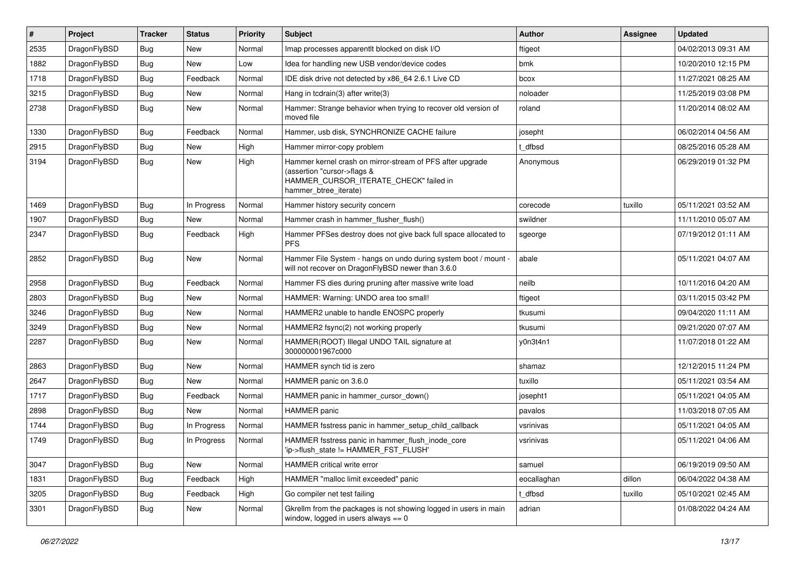| $\#$ | Project      | <b>Tracker</b> | <b>Status</b> | <b>Priority</b> | <b>Subject</b>                                                                                                                                              | <b>Author</b> | Assignee | <b>Updated</b>      |
|------|--------------|----------------|---------------|-----------------|-------------------------------------------------------------------------------------------------------------------------------------------------------------|---------------|----------|---------------------|
| 2535 | DragonFlyBSD | <b>Bug</b>     | <b>New</b>    | Normal          | Imap processes apparentlt blocked on disk I/O                                                                                                               | ftigeot       |          | 04/02/2013 09:31 AM |
| 1882 | DragonFlyBSD | <b>Bug</b>     | New           | Low             | Idea for handling new USB vendor/device codes                                                                                                               | bmk           |          | 10/20/2010 12:15 PM |
| 1718 | DragonFlyBSD | Bug            | Feedback      | Normal          | IDE disk drive not detected by x86 64 2.6.1 Live CD                                                                                                         | bcox          |          | 11/27/2021 08:25 AM |
| 3215 | DragonFlyBSD | Bug            | New           | Normal          | Hang in todrain(3) after write(3)                                                                                                                           | noloader      |          | 11/25/2019 03:08 PM |
| 2738 | DragonFlyBSD | Bug            | New           | Normal          | Hammer: Strange behavior when trying to recover old version of<br>moved file                                                                                | roland        |          | 11/20/2014 08:02 AM |
| 1330 | DragonFlyBSD | <b>Bug</b>     | Feedback      | Normal          | Hammer, usb disk, SYNCHRONIZE CACHE failure                                                                                                                 | josepht       |          | 06/02/2014 04:56 AM |
| 2915 | DragonFlyBSD | Bug            | New           | High            | Hammer mirror-copy problem                                                                                                                                  | t dfbsd       |          | 08/25/2016 05:28 AM |
| 3194 | DragonFlyBSD | Bug            | New           | High            | Hammer kernel crash on mirror-stream of PFS after upgrade<br>(assertion "cursor->flags &<br>HAMMER_CURSOR_ITERATE_CHECK" failed in<br>hammer_btree_iterate) | Anonymous     |          | 06/29/2019 01:32 PM |
| 1469 | DragonFlyBSD | <b>Bug</b>     | In Progress   | Normal          | Hammer history security concern                                                                                                                             | corecode      | tuxillo  | 05/11/2021 03:52 AM |
| 1907 | DragonFlyBSD | <b>Bug</b>     | New           | Normal          | Hammer crash in hammer flusher flush()                                                                                                                      | swildner      |          | 11/11/2010 05:07 AM |
| 2347 | DragonFlyBSD | Bug            | Feedback      | High            | Hammer PFSes destroy does not give back full space allocated to<br><b>PFS</b>                                                                               | sgeorge       |          | 07/19/2012 01:11 AM |
| 2852 | DragonFlyBSD | <b>Bug</b>     | <b>New</b>    | Normal          | Hammer File System - hangs on undo during system boot / mount -<br>will not recover on DragonFlyBSD newer than 3.6.0                                        | abale         |          | 05/11/2021 04:07 AM |
| 2958 | DragonFlyBSD | <b>Bug</b>     | Feedback      | Normal          | Hammer FS dies during pruning after massive write load                                                                                                      | neilb         |          | 10/11/2016 04:20 AM |
| 2803 | DragonFlyBSD | Bug            | New           | Normal          | HAMMER: Warning: UNDO area too small!                                                                                                                       | ftigeot       |          | 03/11/2015 03:42 PM |
| 3246 | DragonFlyBSD | <b>Bug</b>     | <b>New</b>    | Normal          | HAMMER2 unable to handle ENOSPC properly                                                                                                                    | tkusumi       |          | 09/04/2020 11:11 AM |
| 3249 | DragonFlyBSD | <b>Bug</b>     | New           | Normal          | HAMMER2 fsync(2) not working properly                                                                                                                       | tkusumi       |          | 09/21/2020 07:07 AM |
| 2287 | DragonFlyBSD | Bug            | New           | Normal          | HAMMER(ROOT) Illegal UNDO TAIL signature at<br>300000001967c000                                                                                             | y0n3t4n1      |          | 11/07/2018 01:22 AM |
| 2863 | DragonFlyBSD | <b>Bug</b>     | New           | Normal          | HAMMER synch tid is zero                                                                                                                                    | shamaz        |          | 12/12/2015 11:24 PM |
| 2647 | DragonFlyBSD | <b>Bug</b>     | New           | Normal          | HAMMER panic on 3.6.0                                                                                                                                       | tuxillo       |          | 05/11/2021 03:54 AM |
| 1717 | DragonFlyBSD | Bug            | Feedback      | Normal          | HAMMER panic in hammer cursor down()                                                                                                                        | josepht1      |          | 05/11/2021 04:05 AM |
| 2898 | DragonFlyBSD | Bug            | New           | Normal          | <b>HAMMER</b> panic                                                                                                                                         | pavalos       |          | 11/03/2018 07:05 AM |
| 1744 | DragonFlyBSD | <b>Bug</b>     | In Progress   | Normal          | HAMMER fsstress panic in hammer setup child callback                                                                                                        | vsrinivas     |          | 05/11/2021 04:05 AM |
| 1749 | DragonFlyBSD | <b>Bug</b>     | In Progress   | Normal          | HAMMER fsstress panic in hammer flush inode core<br>'ip->flush_state != HAMMER_FST_FLUSH'                                                                   | vsrinivas     |          | 05/11/2021 04:06 AM |
| 3047 | DragonFlyBSD | Bug            | New           | Normal          | HAMMER critical write error                                                                                                                                 | samuel        |          | 06/19/2019 09:50 AM |
| 1831 | DragonFlyBSD | <b>Bug</b>     | Feedback      | High            | HAMMER "malloc limit exceeded" panic                                                                                                                        | eocallaghan   | dillon   | 06/04/2022 04:38 AM |
| 3205 | DragonFlyBSD | Bug            | Feedback      | High            | Go compiler net test failing                                                                                                                                | t_dfbsd       | tuxillo  | 05/10/2021 02:45 AM |
| 3301 | DragonFlyBSD | Bug            | New           | Normal          | Gkrellm from the packages is not showing logged in users in main<br>window, logged in users always $== 0$                                                   | adrian        |          | 01/08/2022 04:24 AM |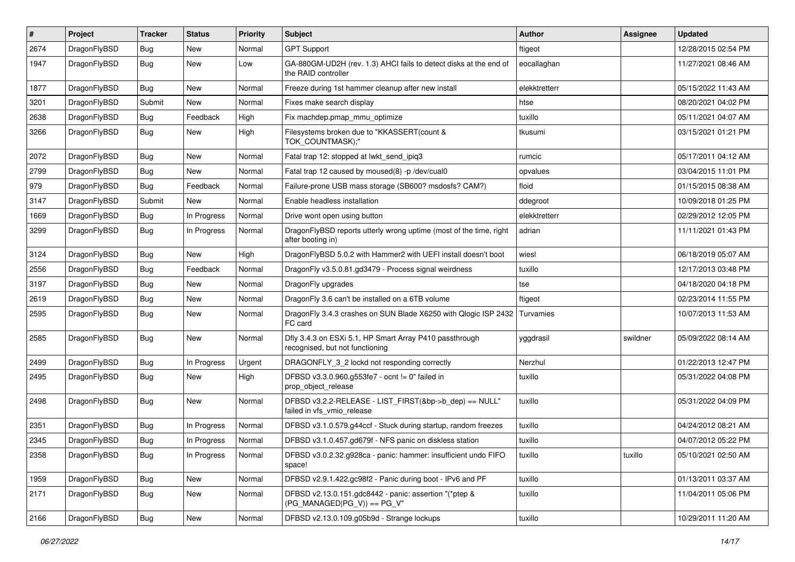| $\sharp$ | Project      | <b>Tracker</b> | <b>Status</b> | <b>Priority</b> | Subject                                                                                    | <b>Author</b> | Assignee | <b>Updated</b>      |
|----------|--------------|----------------|---------------|-----------------|--------------------------------------------------------------------------------------------|---------------|----------|---------------------|
| 2674     | DragonFlyBSD | Bug            | <b>New</b>    | Normal          | <b>GPT Support</b>                                                                         | ftigeot       |          | 12/28/2015 02:54 PM |
| 1947     | DragonFlyBSD | <b>Bug</b>     | New           | Low             | GA-880GM-UD2H (rev. 1.3) AHCI fails to detect disks at the end of<br>the RAID controller   | eocallaghan   |          | 11/27/2021 08:46 AM |
| 1877     | DragonFlyBSD | Bug            | <b>New</b>    | Normal          | Freeze during 1st hammer cleanup after new install                                         | elekktretterr |          | 05/15/2022 11:43 AM |
| 3201     | DragonFlyBSD | Submit         | New           | Normal          | Fixes make search display                                                                  | htse          |          | 08/20/2021 04:02 PM |
| 2638     | DragonFlyBSD | <b>Bug</b>     | Feedback      | High            | Fix machdep.pmap_mmu_optimize                                                              | tuxillo       |          | 05/11/2021 04:07 AM |
| 3266     | DragonFlyBSD | Bug            | New           | High            | Filesystems broken due to "KKASSERT(count &<br>TOK COUNTMASK);"                            | tkusumi       |          | 03/15/2021 01:21 PM |
| 2072     | DragonFlyBSD | Bug            | <b>New</b>    | Normal          | Fatal trap 12: stopped at lwkt_send_ipiq3                                                  | rumcic        |          | 05/17/2011 04:12 AM |
| 2799     | DragonFlyBSD | Bug            | <b>New</b>    | Normal          | Fatal trap 12 caused by moused(8) -p /dev/cual0                                            | opvalues      |          | 03/04/2015 11:01 PM |
| 979      | DragonFlyBSD | <b>Bug</b>     | Feedback      | Normal          | Failure-prone USB mass storage (SB600? msdosfs? CAM?)                                      | floid         |          | 01/15/2015 08:38 AM |
| 3147     | DragonFlyBSD | Submit         | <b>New</b>    | Normal          | Enable headless installation                                                               | ddegroot      |          | 10/09/2018 01:25 PM |
| 1669     | DragonFlyBSD | <b>Bug</b>     | In Progress   | Normal          | Drive wont open using button                                                               | elekktretterr |          | 02/29/2012 12:05 PM |
| 3299     | DragonFlyBSD | <b>Bug</b>     | In Progress   | Normal          | DragonFlyBSD reports utterly wrong uptime (most of the time, right<br>after booting in)    | adrian        |          | 11/11/2021 01:43 PM |
| 3124     | DragonFlyBSD | Bug            | <b>New</b>    | High            | DragonFlyBSD 5.0.2 with Hammer2 with UEFI install doesn't boot                             | wiesl         |          | 06/18/2019 05:07 AM |
| 2556     | DragonFlyBSD | <b>Bug</b>     | Feedback      | Normal          | DragonFly v3.5.0.81.gd3479 - Process signal weirdness                                      | tuxillo       |          | 12/17/2013 03:48 PM |
| 3197     | DragonFlyBSD | Bug            | New           | Normal          | DragonFly upgrades                                                                         | tse           |          | 04/18/2020 04:18 PM |
| 2619     | DragonFlyBSD | <b>Bug</b>     | New           | Normal          | DragonFly 3.6 can't be installed on a 6TB volume                                           | ftigeot       |          | 02/23/2014 11:55 PM |
| 2595     | DragonFlyBSD | <b>Bug</b>     | <b>New</b>    | Normal          | DragonFly 3.4.3 crashes on SUN Blade X6250 with Qlogic ISP 2432<br>FC card                 | Turvamies     |          | 10/07/2013 11:53 AM |
| 2585     | DragonFlyBSD | Bug            | <b>New</b>    | Normal          | Dfly 3.4.3 on ESXi 5.1, HP Smart Array P410 passthrough<br>recognised, but not functioning | yggdrasil     | swildner | 05/09/2022 08:14 AM |
| 2499     | DragonFlyBSD | Bug            | In Progress   | Urgent          | DRAGONFLY_3_2 lockd not responding correctly                                               | Nerzhul       |          | 01/22/2013 12:47 PM |
| 2495     | DragonFlyBSD | <b>Bug</b>     | New           | High            | DFBSD v3.3.0.960.g553fe7 - ocnt != 0" failed in<br>prop_object_release                     | tuxillo       |          | 05/31/2022 04:08 PM |
| 2498     | DragonFlyBSD | Bug            | New           | Normal          | DFBSD v3.2.2-RELEASE - LIST_FIRST(&bp->b_dep) == NULL"<br>failed in vfs_vmio_release       | tuxillo       |          | 05/31/2022 04:09 PM |
| 2351     | DragonFlyBSD | Bug            | In Progress   | Normal          | DFBSD v3.1.0.579.g44ccf - Stuck during startup, random freezes                             | tuxillo       |          | 04/24/2012 08:21 AM |
| 2345     | DragonFlyBSD | Bug            | In Progress   | Normal          | DFBSD v3.1.0.457.gd679f - NFS panic on diskless station                                    | tuxillo       |          | 04/07/2012 05:22 PM |
| 2358     | DragonFlyBSD | <b>Bug</b>     | In Progress   | Normal          | DFBSD v3.0.2.32.g928ca - panic: hammer: insufficient undo FIFO<br>space!                   | tuxillo       | tuxillo  | 05/10/2021 02:50 AM |
| 1959     | DragonFlyBSD | <b>Bug</b>     | New           | Normal          | DFBSD v2.9.1.422.gc98f2 - Panic during boot - IPv6 and PF                                  | tuxillo       |          | 01/13/2011 03:37 AM |
| 2171     | DragonFlyBSD | <b>Bug</b>     | New           | Normal          | DFBSD v2.13.0.151.gdc8442 - panic: assertion "(*ptep &<br>$(PG MANAGED PG V)) == PG V"$    | tuxillo       |          | 11/04/2011 05:06 PM |
| 2166     | DragonFlyBSD | <b>Bug</b>     | New           | Normal          | DFBSD v2.13.0.109.g05b9d - Strange lockups                                                 | tuxillo       |          | 10/29/2011 11:20 AM |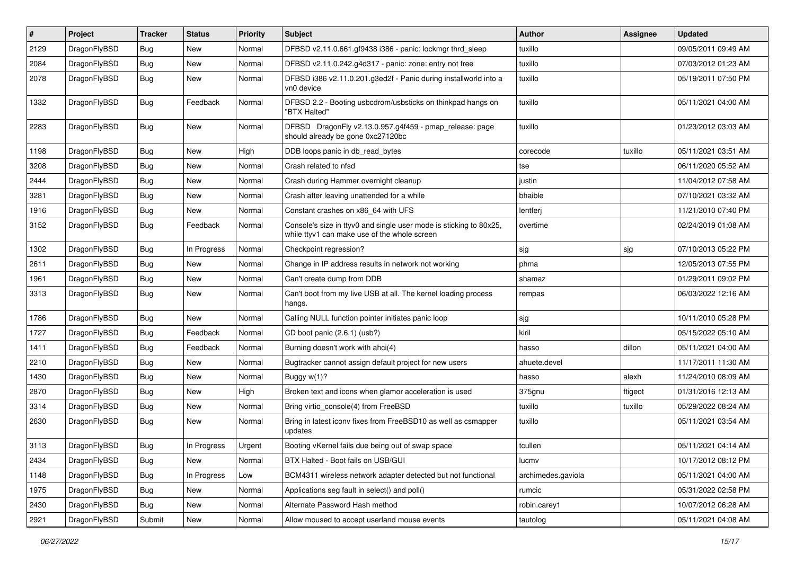| $\sharp$ | Project      | <b>Tracker</b> | <b>Status</b> | <b>Priority</b> | Subject                                                                                                            | Author             | Assignee | <b>Updated</b>      |
|----------|--------------|----------------|---------------|-----------------|--------------------------------------------------------------------------------------------------------------------|--------------------|----------|---------------------|
| 2129     | DragonFlyBSD | <b>Bug</b>     | <b>New</b>    | Normal          | DFBSD v2.11.0.661.gf9438 i386 - panic: lockmgr thrd_sleep                                                          | tuxillo            |          | 09/05/2011 09:49 AM |
| 2084     | DragonFlyBSD | Bug            | <b>New</b>    | Normal          | DFBSD v2.11.0.242.g4d317 - panic: zone: entry not free                                                             | tuxillo            |          | 07/03/2012 01:23 AM |
| 2078     | DragonFlyBSD | Bug            | New           | Normal          | DFBSD i386 v2.11.0.201.g3ed2f - Panic during installworld into a<br>vn0 device                                     | tuxillo            |          | 05/19/2011 07:50 PM |
| 1332     | DragonFlyBSD | <b>Bug</b>     | Feedback      | Normal          | DFBSD 2.2 - Booting usbcdrom/usbsticks on thinkpad hangs on<br>"BTX Halted"                                        | tuxillo            |          | 05/11/2021 04:00 AM |
| 2283     | DragonFlyBSD | Bug            | New           | Normal          | DFBSD DragonFly v2.13.0.957.g4f459 - pmap_release: page<br>should already be gone 0xc27120bc                       | tuxillo            |          | 01/23/2012 03:03 AM |
| 1198     | DragonFlyBSD | Bug            | <b>New</b>    | High            | DDB loops panic in db_read_bytes                                                                                   | corecode           | tuxillo  | 05/11/2021 03:51 AM |
| 3208     | DragonFlyBSD | Bug            | <b>New</b>    | Normal          | Crash related to nfsd                                                                                              | tse                |          | 06/11/2020 05:52 AM |
| 2444     | DragonFlyBSD | <b>Bug</b>     | New           | Normal          | Crash during Hammer overnight cleanup                                                                              | justin             |          | 11/04/2012 07:58 AM |
| 3281     | DragonFlyBSD | Bug            | New           | Normal          | Crash after leaving unattended for a while                                                                         | bhaible            |          | 07/10/2021 03:32 AM |
| 1916     | DragonFlyBSD | Bug            | New           | Normal          | Constant crashes on x86_64 with UFS                                                                                | lentferj           |          | 11/21/2010 07:40 PM |
| 3152     | DragonFlyBSD | Bug            | Feedback      | Normal          | Console's size in ttyv0 and single user mode is sticking to 80x25,<br>while ttyv1 can make use of the whole screen | overtime           |          | 02/24/2019 01:08 AM |
| 1302     | DragonFlyBSD | Bug            | In Progress   | Normal          | Checkpoint regression?                                                                                             | sjg                | sjg      | 07/10/2013 05:22 PM |
| 2611     | DragonFlyBSD | Bug            | <b>New</b>    | Normal          | Change in IP address results in network not working                                                                | phma               |          | 12/05/2013 07:55 PM |
| 1961     | DragonFlyBSD | Bug            | <b>New</b>    | Normal          | Can't create dump from DDB                                                                                         | shamaz             |          | 01/29/2011 09:02 PM |
| 3313     | DragonFlyBSD | Bug            | New           | Normal          | Can't boot from my live USB at all. The kernel loading process<br>hangs.                                           | rempas             |          | 06/03/2022 12:16 AM |
| 1786     | DragonFlyBSD | Bug            | New           | Normal          | Calling NULL function pointer initiates panic loop                                                                 | sjg                |          | 10/11/2010 05:28 PM |
| 1727     | DragonFlyBSD | <b>Bug</b>     | Feedback      | Normal          | CD boot panic (2.6.1) (usb?)                                                                                       | kiril              |          | 05/15/2022 05:10 AM |
| 1411     | DragonFlyBSD | Bug            | Feedback      | Normal          | Burning doesn't work with ahci(4)                                                                                  | hasso              | dillon   | 05/11/2021 04:00 AM |
| 2210     | DragonFlyBSD | <b>Bug</b>     | New           | Normal          | Bugtracker cannot assign default project for new users                                                             | ahuete.devel       |          | 11/17/2011 11:30 AM |
| 1430     | DragonFlyBSD | <b>Bug</b>     | New           | Normal          | Buggy w(1)?                                                                                                        | hasso              | alexh    | 11/24/2010 08:09 AM |
| 2870     | DragonFlyBSD | Bug            | New           | High            | Broken text and icons when glamor acceleration is used                                                             | 375gnu             | ftigeot  | 01/31/2016 12:13 AM |
| 3314     | DragonFlyBSD | <b>Bug</b>     | New           | Normal          | Bring virtio_console(4) from FreeBSD                                                                               | tuxillo            | tuxillo  | 05/29/2022 08:24 AM |
| 2630     | DragonFlyBSD | <b>Bug</b>     | <b>New</b>    | Normal          | Bring in latest iconv fixes from FreeBSD10 as well as csmapper<br>updates                                          | tuxillo            |          | 05/11/2021 03:54 AM |
| 3113     | DragonFlyBSD | Bug            | In Progress   | Urgent          | Booting vKernel fails due being out of swap space                                                                  | tcullen            |          | 05/11/2021 04:14 AM |
| 2434     | DragonFlyBSD | <b>Bug</b>     | New           | Normal          | BTX Halted - Boot fails on USB/GUI                                                                                 | lucmv              |          | 10/17/2012 08:12 PM |
| 1148     | DragonFlyBSD | <b>Bug</b>     | In Progress   | Low             | BCM4311 wireless network adapter detected but not functional                                                       | archimedes.gaviola |          | 05/11/2021 04:00 AM |
| 1975     | DragonFlyBSD | <b>Bug</b>     | <b>New</b>    | Normal          | Applications seg fault in select() and poll()                                                                      | rumcic             |          | 05/31/2022 02:58 PM |
| 2430     | DragonFlyBSD | Bug            | New           | Normal          | Alternate Password Hash method                                                                                     | robin.carey1       |          | 10/07/2012 06:28 AM |
| 2921     | DragonFlyBSD | Submit         | New           | Normal          | Allow moused to accept userland mouse events                                                                       | tautolog           |          | 05/11/2021 04:08 AM |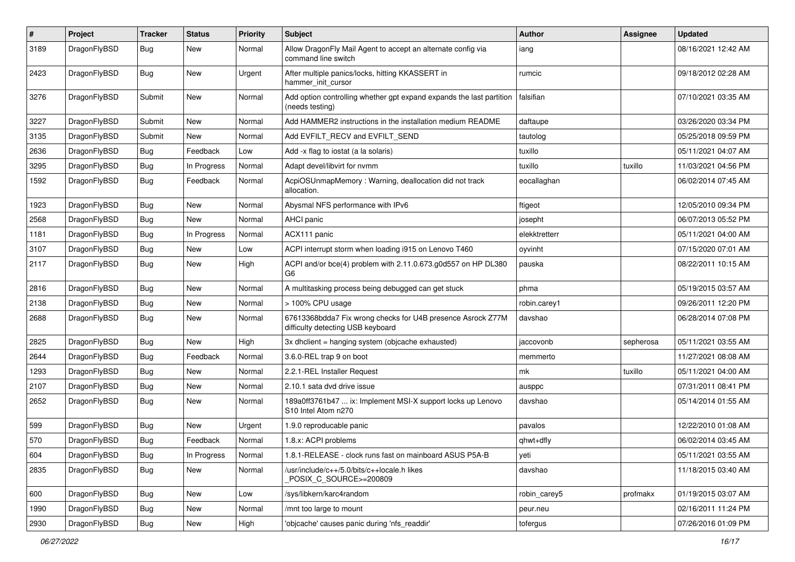| $\sharp$ | Project      | <b>Tracker</b> | <b>Status</b> | <b>Priority</b> | Subject                                                                                          | <b>Author</b> | Assignee  | <b>Updated</b>      |
|----------|--------------|----------------|---------------|-----------------|--------------------------------------------------------------------------------------------------|---------------|-----------|---------------------|
| 3189     | DragonFlyBSD | Bug            | <b>New</b>    | Normal          | Allow DragonFly Mail Agent to accept an alternate config via<br>command line switch              | iang          |           | 08/16/2021 12:42 AM |
| 2423     | DragonFlyBSD | <b>Bug</b>     | <b>New</b>    | Urgent          | After multiple panics/locks, hitting KKASSERT in<br>hammer_init_cursor                           | rumcic        |           | 09/18/2012 02:28 AM |
| 3276     | DragonFlyBSD | Submit         | <b>New</b>    | Normal          | Add option controlling whether gpt expand expands the last partition<br>(needs testing)          | falsifian     |           | 07/10/2021 03:35 AM |
| 3227     | DragonFlyBSD | Submit         | <b>New</b>    | Normal          | Add HAMMER2 instructions in the installation medium README                                       | daftaupe      |           | 03/26/2020 03:34 PM |
| 3135     | DragonFlyBSD | Submit         | New           | Normal          | Add EVFILT_RECV and EVFILT_SEND                                                                  | tautolog      |           | 05/25/2018 09:59 PM |
| 2636     | DragonFlyBSD | <b>Bug</b>     | Feedback      | Low             | Add -x flag to iostat (a la solaris)                                                             | tuxillo       |           | 05/11/2021 04:07 AM |
| 3295     | DragonFlyBSD | <b>Bug</b>     | In Progress   | Normal          | Adapt devel/libvirt for nvmm                                                                     | tuxillo       | tuxillo   | 11/03/2021 04:56 PM |
| 1592     | DragonFlyBSD | <b>Bug</b>     | Feedback      | Normal          | AcpiOSUnmapMemory: Warning, deallocation did not track<br>allocation.                            | eocallaghan   |           | 06/02/2014 07:45 AM |
| 1923     | DragonFlyBSD | Bug            | <b>New</b>    | Normal          | Abysmal NFS performance with IPv6                                                                | ftigeot       |           | 12/05/2010 09:34 PM |
| 2568     | DragonFlyBSD | <b>Bug</b>     | New           | Normal          | <b>AHCI</b> panic                                                                                | josepht       |           | 06/07/2013 05:52 PM |
| 1181     | DragonFlyBSD | <b>Bug</b>     | In Progress   | Normal          | ACX111 panic                                                                                     | elekktretterr |           | 05/11/2021 04:00 AM |
| 3107     | DragonFlyBSD | <b>Bug</b>     | New           | Low             | ACPI interrupt storm when loading i915 on Lenovo T460                                            | oyvinht       |           | 07/15/2020 07:01 AM |
| 2117     | DragonFlyBSD | <b>Bug</b>     | <b>New</b>    | High            | ACPI and/or bce(4) problem with 2.11.0.673.g0d557 on HP DL380<br>G <sub>6</sub>                  | pauska        |           | 08/22/2011 10:15 AM |
| 2816     | DragonFlyBSD | <b>Bug</b>     | <b>New</b>    | Normal          | A multitasking process being debugged can get stuck                                              | phma          |           | 05/19/2015 03:57 AM |
| 2138     | DragonFlyBSD | <b>Bug</b>     | <b>New</b>    | Normal          | > 100% CPU usage                                                                                 | robin.carey1  |           | 09/26/2011 12:20 PM |
| 2688     | DragonFlyBSD | <b>Bug</b>     | <b>New</b>    | Normal          | 67613368bdda7 Fix wrong checks for U4B presence Asrock Z77M<br>difficulty detecting USB keyboard | davshao       |           | 06/28/2014 07:08 PM |
| 2825     | DragonFlyBSD | <b>Bug</b>     | <b>New</b>    | High            | 3x dhclient = hanging system (objcache exhausted)                                                | jaccovonb     | sepherosa | 05/11/2021 03:55 AM |
| 2644     | DragonFlyBSD | <b>Bug</b>     | Feedback      | Normal          | 3.6.0-REL trap 9 on boot                                                                         | memmerto      |           | 11/27/2021 08:08 AM |
| 1293     | DragonFlyBSD | <b>Bug</b>     | <b>New</b>    | Normal          | 2.2.1-REL Installer Request                                                                      | mk            | tuxillo   | 05/11/2021 04:00 AM |
| 2107     | DragonFlyBSD | <b>Bug</b>     | <b>New</b>    | Normal          | 2.10.1 sata dvd drive issue                                                                      | ausppc        |           | 07/31/2011 08:41 PM |
| 2652     | DragonFlyBSD | <b>Bug</b>     | <b>New</b>    | Normal          | 189a0ff3761b47  ix: Implement MSI-X support locks up Lenovo<br>S10 Intel Atom n270               | davshao       |           | 05/14/2014 01:55 AM |
| 599      | DragonFlyBSD | <b>Bug</b>     | <b>New</b>    | Urgent          | 1.9.0 reproducable panic                                                                         | pavalos       |           | 12/22/2010 01:08 AM |
| 570      | DragonFlyBSD | Bug            | Feedback      | Normal          | 1.8.x: ACPI problems                                                                             | qhwt+dfly     |           | 06/02/2014 03:45 AM |
| 604      | DragonFlyBSD | Bug            | In Progress   | Normal          | 1.8.1-RELEASE - clock runs fast on mainboard ASUS P5A-B                                          | yeti          |           | 05/11/2021 03:55 AM |
| 2835     | DragonFlyBSD | Bug            | New           | Normal          | /usr/include/c++/5.0/bits/c++locale.h likes<br>POSIX_C_SOURCE>=200809                            | davshao       |           | 11/18/2015 03:40 AM |
| 600      | DragonFlyBSD | <b>Bug</b>     | New           | Low             | /sys/libkern/karc4random                                                                         | robin_carey5  | profmakx  | 01/19/2015 03:07 AM |
| 1990     | DragonFlyBSD | Bug            | New           | Normal          | /mnt too large to mount                                                                          | peur.neu      |           | 02/16/2011 11:24 PM |
| 2930     | DragonFlyBSD | <b>Bug</b>     | New           | High            | 'objcache' causes panic during 'nfs_readdir'                                                     | tofergus      |           | 07/26/2016 01:09 PM |